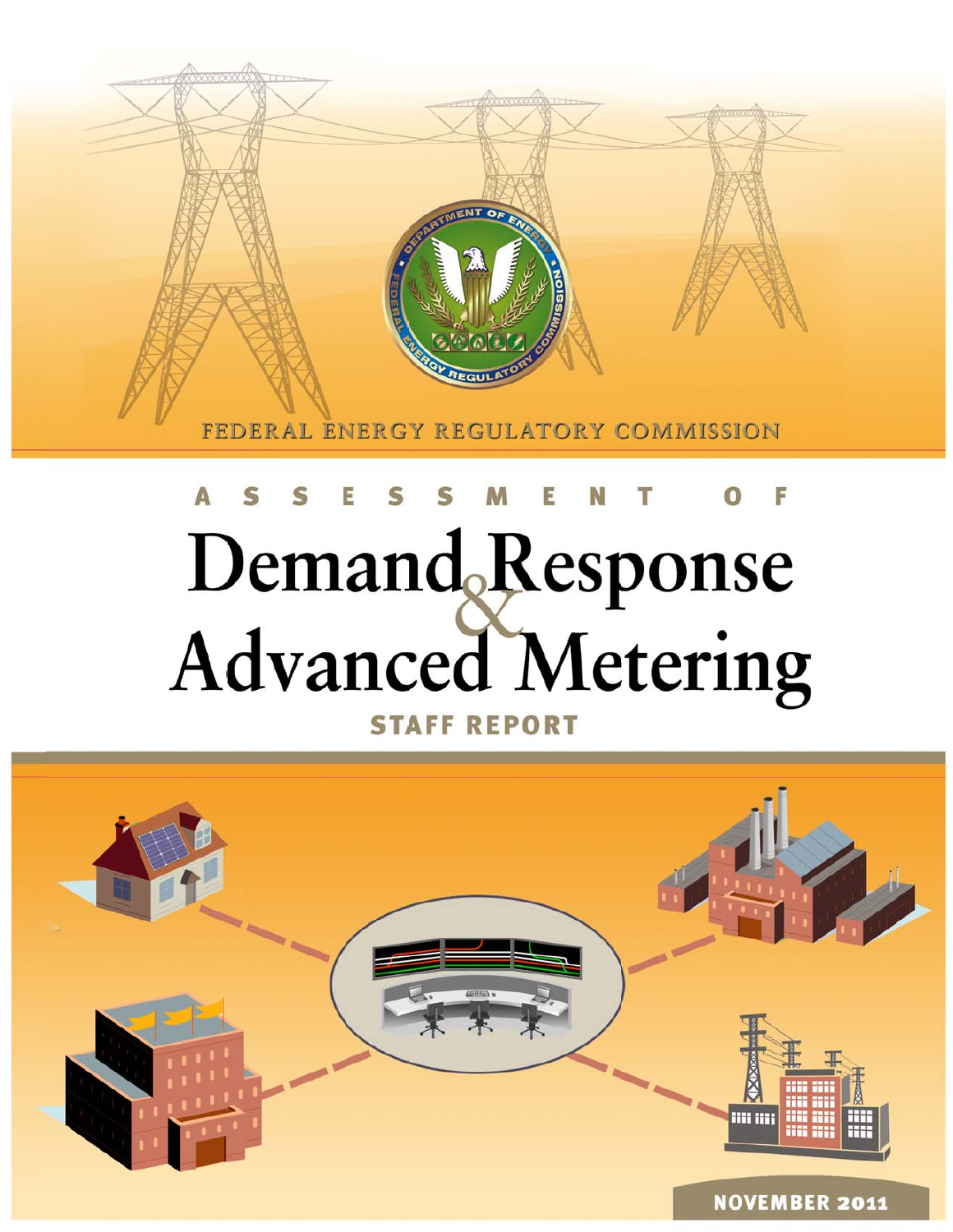

# Demand Response **Advanced Metering STAFF REPORT**

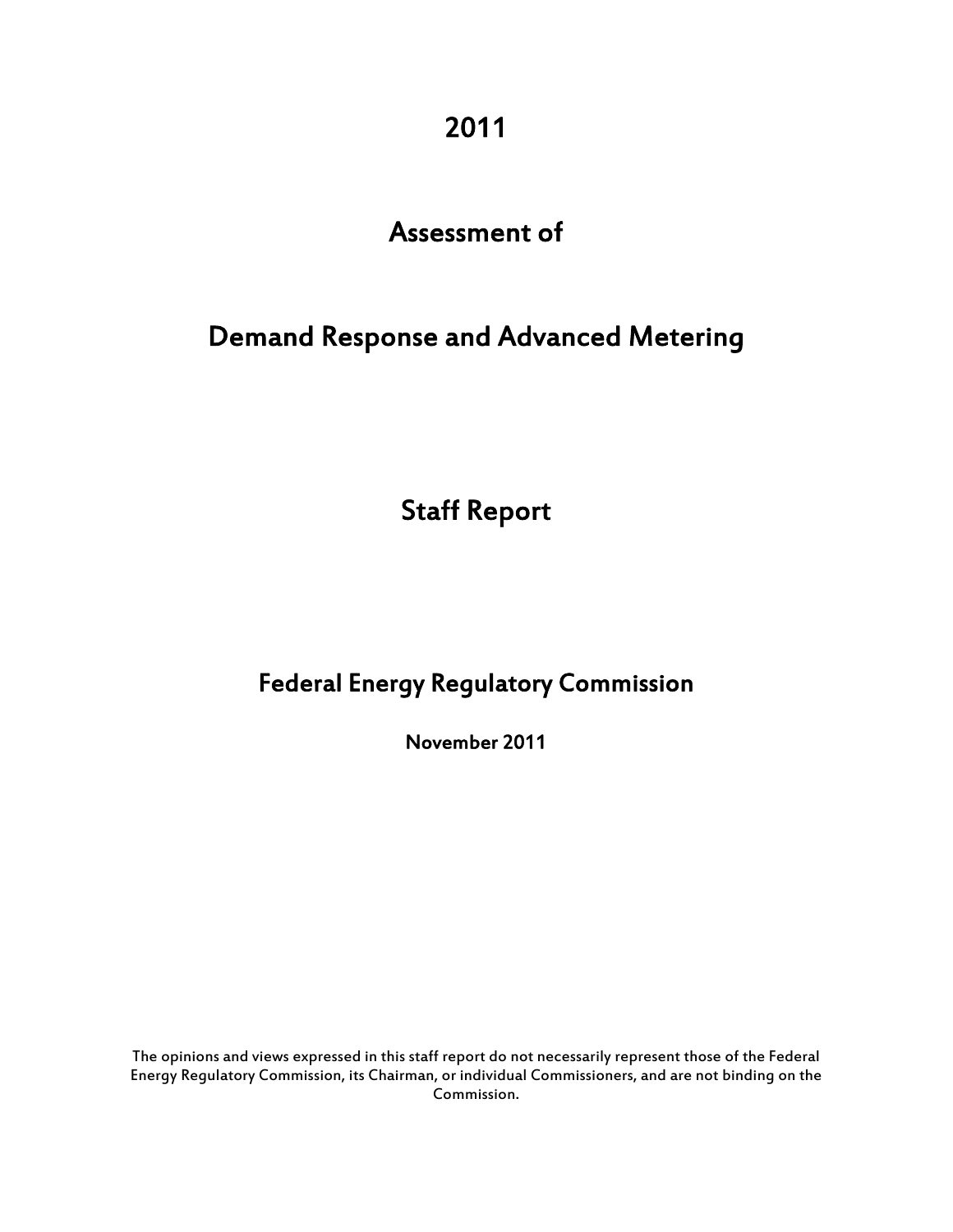2011

# Assessment of

# Demand Response and Advanced Metering

Staff Report

# Federal Energy Regulatory Commission

November 2011

 The opinions and views expressed in this staff report do not necessarily represent those of the Federal Energy Regulatory Commission, its Chairman, or individual Commissioners, and are not binding on the Commission.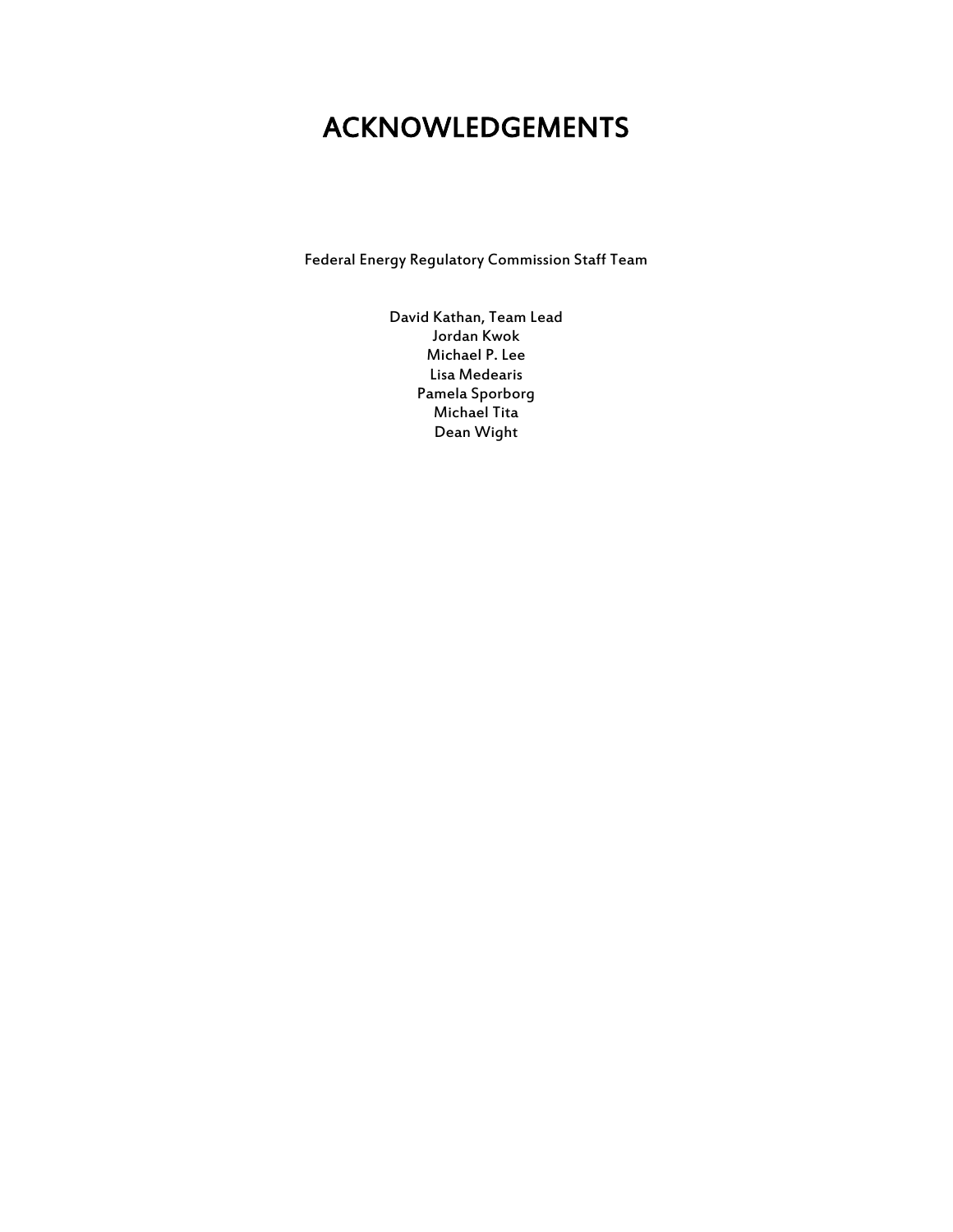# ACKNOWLEDGEMENTS

Federal Energy Regulatory Commission Staff Team

David Kathan, Team Lead Jordan Kwok Michael P. Lee Lisa Medearis Pamela Sporborg Michael Tita Dean Wight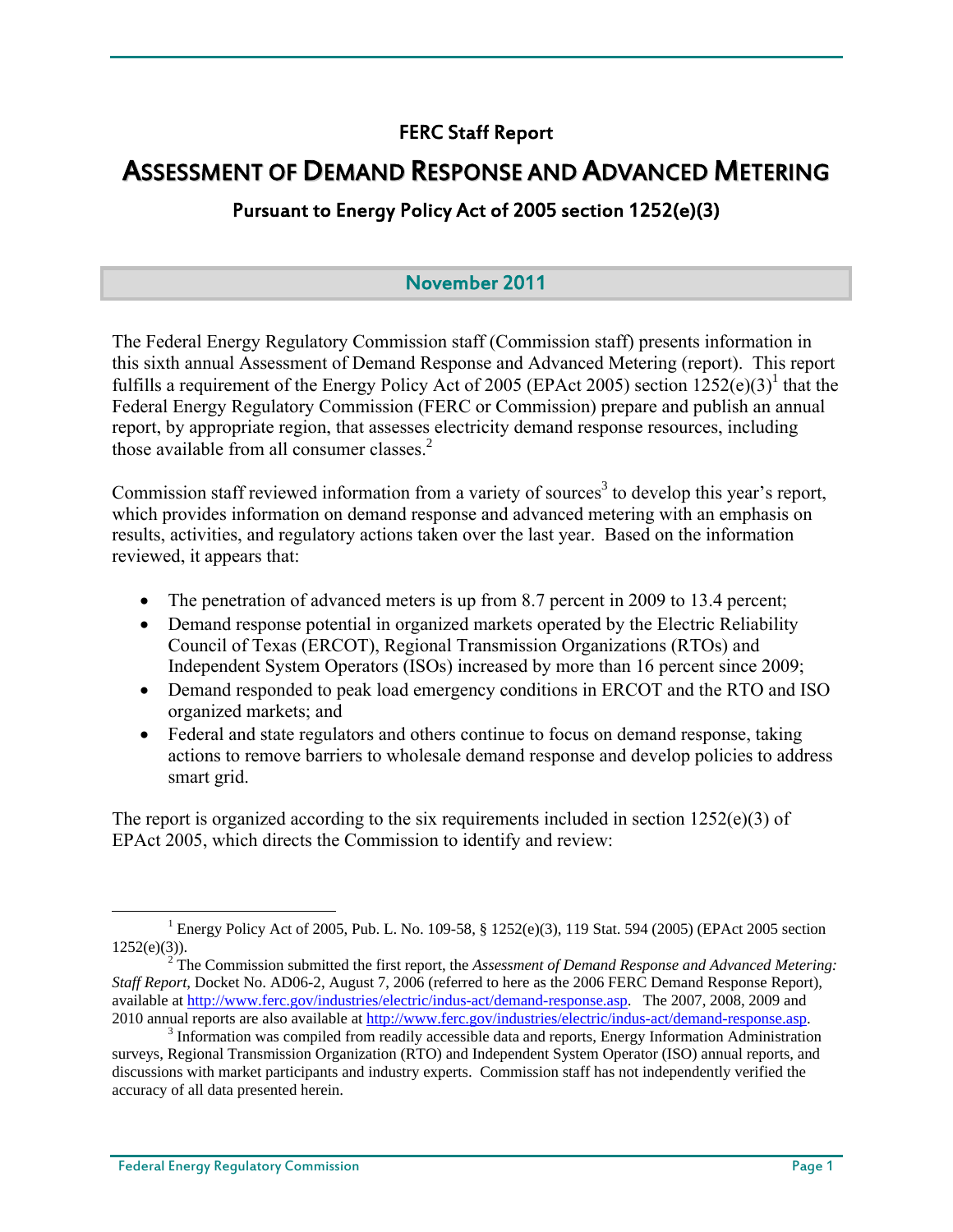## FERC Staff Report

# ASSESSMENT OF DEMAND RESPONSE AND ADVANCED METERING

## Pursuant to Energy Policy Act of 2005 section 1252(e)(3)

## November 2011

The Federal Energy Regulatory Commission staff (Commission staff) presents information in this sixth annual Assessment of Demand Response and Advanced Metering (report). This report fulfills a requirement of the Energy Policy Act of 2005 (EPAct 2005) section  $1252(e)(3)^{1}$  that the Federal Energy Regulatory Commission (FERC or Commission) prepare and publish an annual report, by appropriate region, that assesses electricity demand response resources, including those available from all consumer classes  $2$ 

Commission staff reviewed information from a variety of sources<sup>3</sup> to develop this year's report, which provides information on demand response and advanced metering with an emphasis on results, activities, and regulatory actions taken over the last year. Based on the information reviewed, it appears that:

- The penetration of advanced meters is up from 8.7 percent in 2009 to 13.4 percent;
- Demand response potential in organized markets operated by the Electric Reliability Council of Texas (ERCOT), Regional Transmission Organizations (RTOs) and Independent System Operators (ISOs) increased by more than 16 percent since 2009;
- Demand responded to peak load emergency conditions in ERCOT and the RTO and ISO organized markets; and
- Federal and state regulators and others continue to focus on demand response, taking actions to remove barriers to wholesale demand response and develop policies to address smart grid.

The report is organized according to the six requirements included in section  $1252(e)(3)$  of EPAct 2005, which directs the Commission to identify and review:

 $\frac{1}{1}$  Energy Policy Act of 2005, Pub. L. No. 109-58, § 1252(e)(3), 119 Stat. 594 (2005) (EPAct 2005 section  $1252(e)(3)$ ).

The Commission submitted the first report, the *Assessment of Demand Response and Advanced Metering: Staff Report*, Docket No. AD06-2, August 7, 2006 (referred to here as the 2006 FERC Demand Response Report), available at http://www.ferc.gov/industries/electric/indus-act/demand-response.asp. The 2007, 2008, 2009 and 2010 annual reports are also available at http://www.ferc.gov/industries/electric/indus-act/demand-response.asp. 3

<sup>&</sup>lt;sup>3</sup> Information was compiled from readily accessible data and reports, Energy Information Administration surveys, Regional Transmission Organization (RTO) and Independent System Operator (ISO) annual reports, and discussions with market participants and industry experts. Commission staff has not independently verified the accuracy of all data presented herein.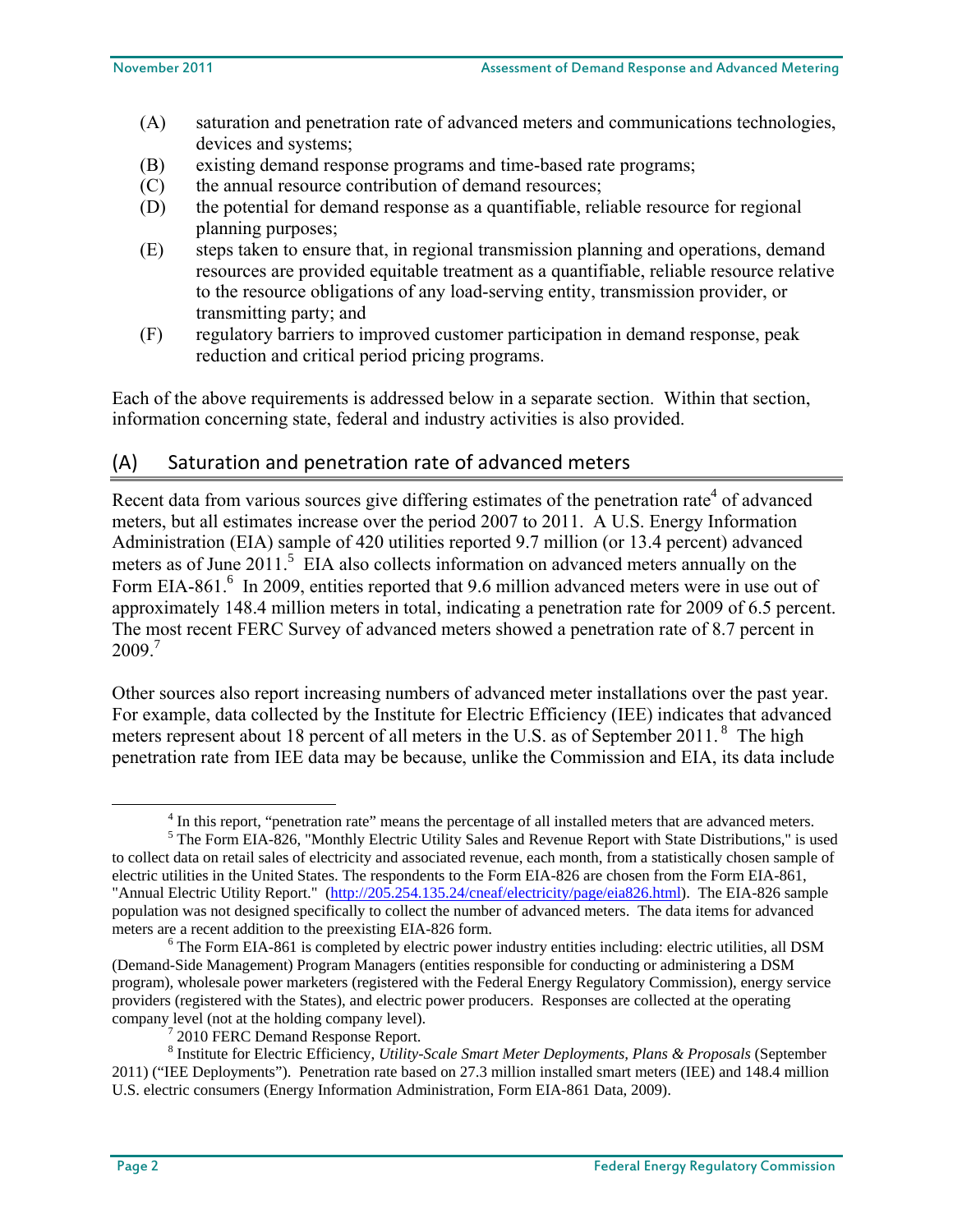- (A) saturation and penetration rate of advanced meters and communications technologies, devices and systems;
- (B) existing demand response programs and time-based rate programs;
- (C) the annual resource contribution of demand resources;
- (D) the potential for demand response as a quantifiable, reliable resource for regional planning purposes;
- (E) steps taken to ensure that, in regional transmission planning and operations, demand resources are provided equitable treatment as a quantifiable, reliable resource relative to the resource obligations of any load-serving entity, transmission provider, or transmitting party; and
- (F) regulatory barriers to improved customer participation in demand response, peak reduction and critical period pricing programs.

Each of the above requirements is addressed below in a separate section. Within that section, information concerning state, federal and industry activities is also provided.

## (A) Saturation and penetration rate of advanced meters

Recent data from various sources give differing estimates of the penetration rate $4$  of advanced meters, but all estimates increase over the period 2007 to 2011. A U.S. Energy Information Administration (EIA) sample of 420 utilities reported 9.7 million (or 13.4 percent) advanced meters as of June 2011.<sup>5</sup> EIA also collects information on advanced meters annually on the Form EIA-861.<sup>6</sup> In 2009, entities reported that 9.6 million advanced meters were in use out of approximately 148.4 million meters in total, indicating a penetration rate for 2009 of 6.5 percent. The most recent FERC Survey of advanced meters showed a penetration rate of 8.7 percent in  $2009.7$ 

Other sources also report increasing numbers of advanced meter installations over the past year. For example, data collected by the Institute for Electric Efficiency (IEE) indicates that advanced meters represent about 18 percent of all meters in the U.S. as of September 2011.  $8$  The high penetration rate from IEE data may be because, unlike the Commission and EIA, its data include

 $\frac{1}{4}$ <sup>4</sup> In this report, "penetration rate" means the percentage of all installed meters that are advanced meters.

<sup>&</sup>lt;sup>5</sup> The Form EIA-826, "Monthly Electric Utility Sales and Revenue Report with State Distributions," is used to collect data on retail sales of electricity and associated revenue, each month, from a statistically chosen sample of electric utilities in the United States. The respondents to the Form EIA-826 are chosen from the Form EIA-861, "Annual Electric Utility Report." (http://205.254.135.24/cneaf/electricity/page/eia826.html). The EIA-826 sample population was not designed specifically to collect the number of advanced meters. The data items for advanced meters are a recent addition to the preexisting EIA-826 form.

 $6$  The Form EIA-861 is completed by electric power industry entities including: electric utilities, all DSM (Demand-Side Management) Program Managers (entities responsible for conducting or administering a DSM program), wholesale power marketers (registered with the Federal Energy Regulatory Commission), energy service providers (registered with the States), and electric power producers. Responses are collected at the operating company level (not at the holding company level).

<sup>&</sup>lt;sup>7</sup> 2010 FERC Demand Response Report.

<sup>8</sup> Institute for Electric Efficiency, *Utility-Scale Smart Meter Deployments, Plans & Proposals* (September 2011) ("IEE Deployments"). Penetration rate based on 27.3 million installed smart meters (IEE) and 148.4 million U.S. electric consumers (Energy Information Administration, Form EIA-861 Data, 2009).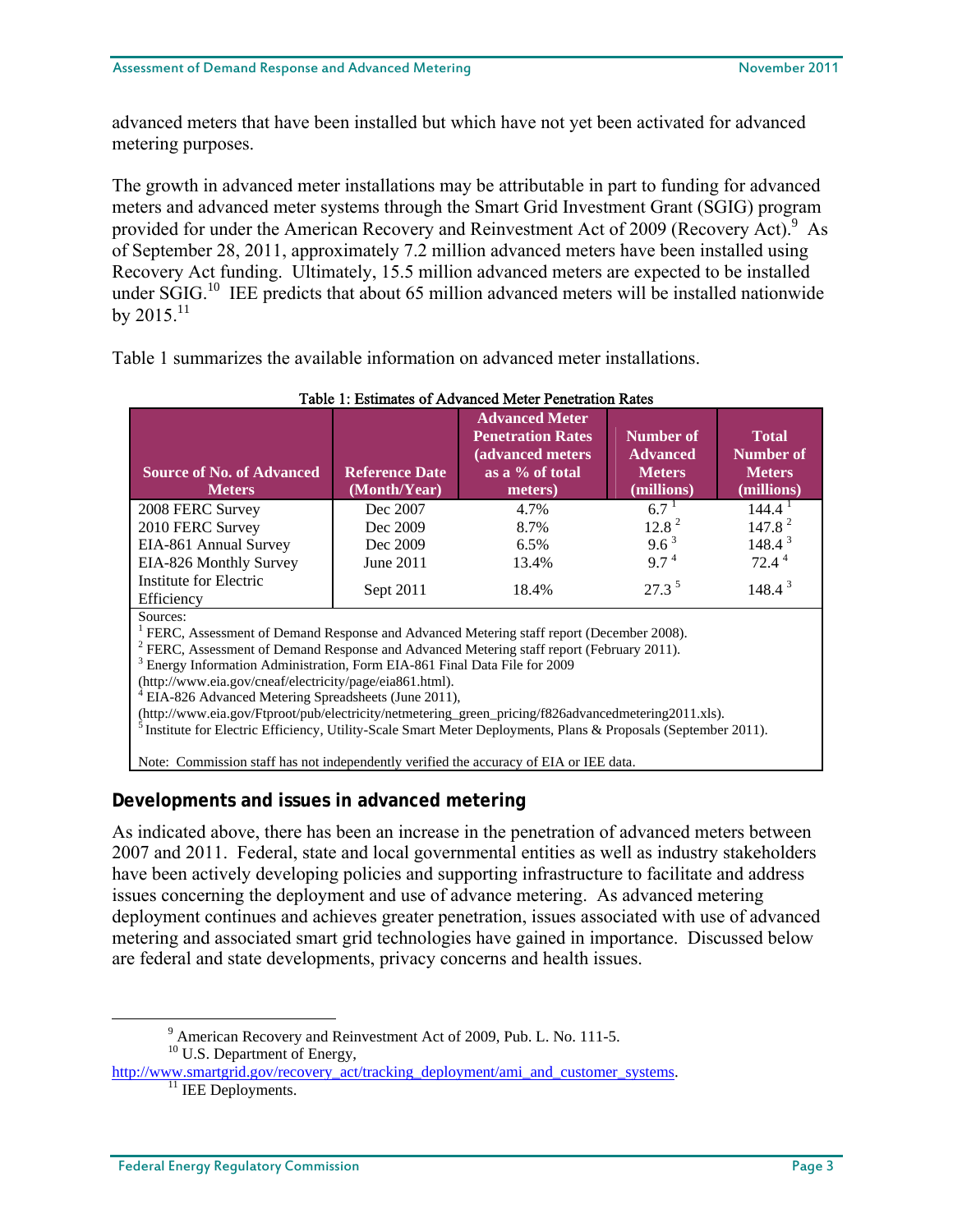advanced meters that have been installed but which have not yet been activated for advanced metering purposes.

The growth in advanced meter installations may be attributable in part to funding for advanced meters and advanced meter systems through the Smart Grid Investment Grant (SGIG) program provided for under the American Recovery and Reinvestment Act of 2009 (Recovery Act).<sup>9</sup> As of September 28, 2011, approximately 7.2 million advanced meters have been installed using Recovery Act funding. Ultimately, 15.5 million advanced meters are expected to be installed under  $SGIG<sup>10</sup>$  IEE predicts that about 65 million advanced meters will be installed nationwide by  $2015$ <sup>11</sup>

Table 1 summarizes the available information on advanced meter installations.

| Table 1: Estimates of Advanced Meter Penetration Rates                                                                                                                                                                                                                                                                                                                                                                                            |                                       |                                                                                                     |                                                             |                                                                 |  |  |  |
|---------------------------------------------------------------------------------------------------------------------------------------------------------------------------------------------------------------------------------------------------------------------------------------------------------------------------------------------------------------------------------------------------------------------------------------------------|---------------------------------------|-----------------------------------------------------------------------------------------------------|-------------------------------------------------------------|-----------------------------------------------------------------|--|--|--|
| <b>Source of No. of Advanced</b><br><b>Meters</b>                                                                                                                                                                                                                                                                                                                                                                                                 | <b>Reference Date</b><br>(Month/Year) | <b>Advanced Meter</b><br><b>Penetration Rates</b><br>(advanced meters<br>as a % of total<br>meters) | Number of<br><b>Advanced</b><br><b>Meters</b><br>(millions) | <b>Total</b><br><b>Number of</b><br><b>Meters</b><br>(millions) |  |  |  |
| 2008 FERC Survey                                                                                                                                                                                                                                                                                                                                                                                                                                  | Dec 2007                              | 4.7%                                                                                                | $6.7^{\text{1}}$                                            | $144.4^{\mathrm{T}}$                                            |  |  |  |
| 2010 FERC Survey                                                                                                                                                                                                                                                                                                                                                                                                                                  | Dec 2009                              | 8.7%                                                                                                | 12.8 <sup>2</sup>                                           | 147.8 <sup>2</sup>                                              |  |  |  |
| EIA-861 Annual Survey                                                                                                                                                                                                                                                                                                                                                                                                                             | Dec 2009                              | 6.5%                                                                                                | $9.6^3$                                                     | $148.4^3$                                                       |  |  |  |
| EIA-826 Monthly Survey                                                                                                                                                                                                                                                                                                                                                                                                                            | June 2011                             | 13.4%                                                                                               | $9.7^4$                                                     | $72.4^4$                                                        |  |  |  |
| Institute for Electric<br>Efficiency                                                                                                                                                                                                                                                                                                                                                                                                              | Sept 2011                             | 18.4%                                                                                               | $27.3^5$                                                    | $148.4^3$                                                       |  |  |  |
| Sources:<br><sup>1</sup> FERC, Assessment of Demand Response and Advanced Metering staff report (December 2008).<br><sup>2</sup> FERC, Assessment of Demand Response and Advanced Metering staff report (February 2011).<br><sup>3</sup> Energy Information Administration, Form EIA-861 Final Data File for 2009<br>(http://www.eia.gov/cneaf/electricity/page/eia861.html).<br><sup>4</sup> EIA-826 Advanced Metering Spreadsheets (June 2011), |                                       |                                                                                                     |                                                             |                                                                 |  |  |  |

Note: Commission staff has not independently verified the accuracy of EIA or IEE data.

## **Developments and issues in advanced metering**

As indicated above, there has been an increase in the penetration of advanced meters between 2007 and 2011. Federal, state and local governmental entities as well as industry stakeholders have been actively developing policies and supporting infrastructure to facilitate and address issues concerning the deployment and use of advance metering. As advanced metering deployment continues and achieves greater penetration, issues associated with use of advanced metering and associated smart grid technologies have gained in importance. Discussed below are federal and state developments, privacy concerns and health issues.

(http://www.eia.gov/Ftproot/pub/electricity/netmetering\_green\_pricing/f826advancedmetering2011.xls). 5 Institute for Electric Efficiency, Utility-Scale Smart Meter Deployments, Plans & Proposals (September 2011).

 $\frac{1}{9}$  American Recovery and Reinvestment Act of 2009, Pub. L. No. 111-5. <sup>10</sup> U.S. Department of Energy,

http://www.smartgrid.gov/recovery\_act/tracking\_deployment/ami\_and\_customer\_systems.<br><sup>11</sup> IEE Deployments.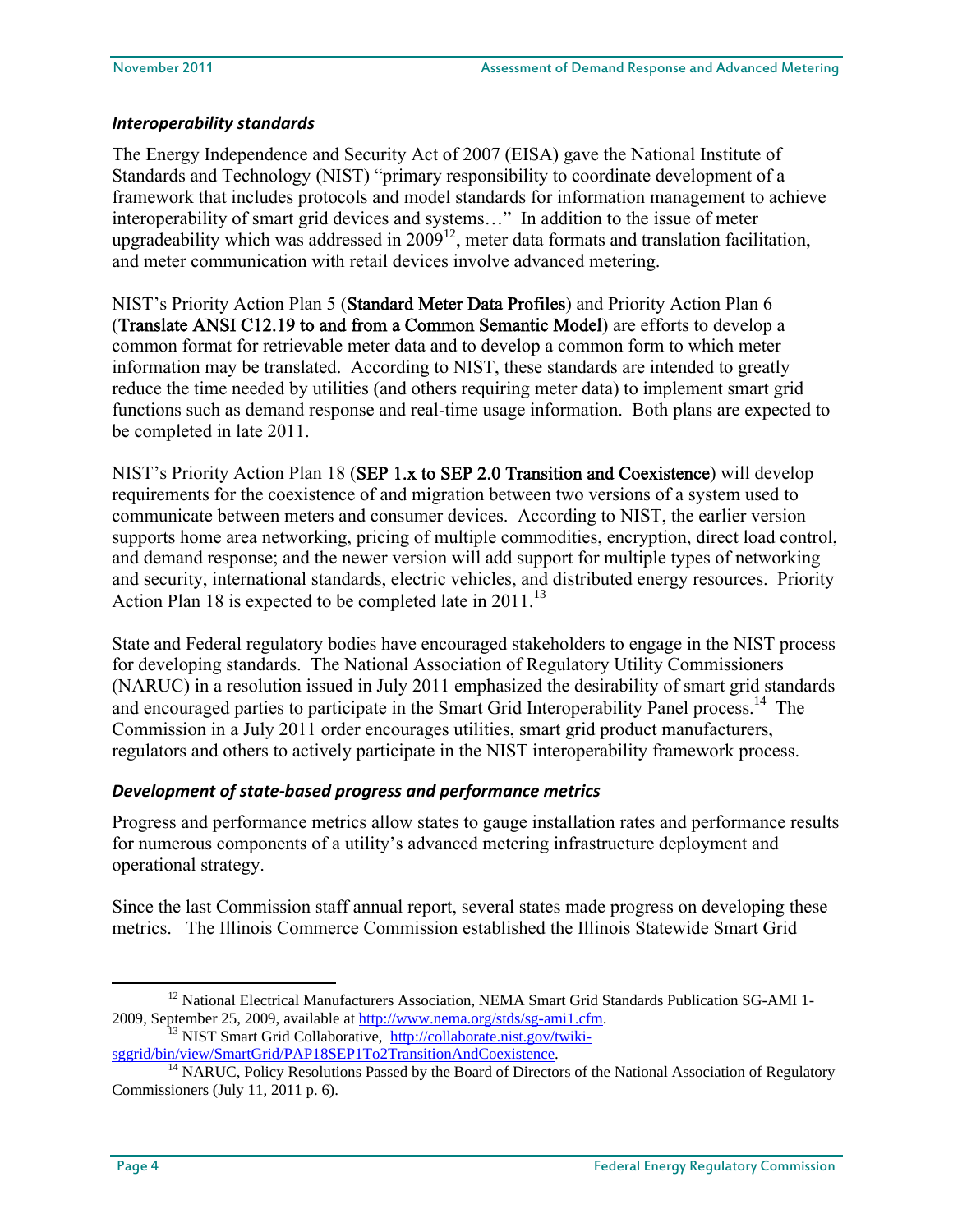## *Interoperability standards*

The Energy Independence and Security Act of 2007 (EISA) gave the National Institute of Standards and Technology (NIST) "primary responsibility to coordinate development of a framework that includes protocols and model standards for information management to achieve interoperability of smart grid devices and systems…" In addition to the issue of meter upgradeability which was addressed in  $2009^{12}$ , meter data formats and translation facilitation, and meter communication with retail devices involve advanced metering.

NIST's Priority Action Plan 5 (Standard Meter Data Profiles) and Priority Action Plan 6 (Translate ANSI C12.19 to and from a Common Semantic Model) are efforts to develop a common format for retrievable meter data and to develop a common form to which meter information may be translated. According to NIST, these standards are intended to greatly reduce the time needed by utilities (and others requiring meter data) to implement smart grid functions such as demand response and real-time usage information. Both plans are expected to be completed in late 2011.

NIST's Priority Action Plan 18 (SEP 1.x to SEP 2.0 Transition and Coexistence) will develop requirements for the coexistence of and migration between two versions of a system used to communicate between meters and consumer devices. According to NIST, the earlier version supports home area networking, pricing of multiple commodities, encryption, direct load control, and demand response; and the newer version will add support for multiple types of networking and security, international standards, electric vehicles, and distributed energy resources. Priority Action Plan 18 is expected to be completed late in  $2011$ .<sup>13</sup>

State and Federal regulatory bodies have encouraged stakeholders to engage in the NIST process for developing standards. The National Association of Regulatory Utility Commissioners (NARUC) in a resolution issued in July 2011 emphasized the desirability of smart grid standards and encouraged parties to participate in the Smart Grid Interoperability Panel process.<sup>14</sup> The Commission in a July 2011 order encourages utilities, smart grid product manufacturers, regulators and others to actively participate in the NIST interoperability framework process.

## *Development of state‐based progress and performance metrics*

Progress and performance metrics allow states to gauge installation rates and performance results for numerous components of a utility's advanced metering infrastructure deployment and operational strategy.

Since the last Commission staff annual report, several states made progress on developing these metrics. The Illinois Commerce Commission established the Illinois Statewide Smart Grid

<sup>&</sup>lt;sup>12</sup> National Electrical Manufacturers Association, NEMA Smart Grid Standards Publication SG-AMI 1-

<sup>2009,</sup> September 25, 2009, available at http://www.nema.org/stds/sg-ami1.cfm.<br>
<sup>13</sup> NIST Smart Grid Collaborative, http://collaborate.nist.gov/twiki-<br>
sggrid/bin/view/SmartGrid/PAP18SEP1To2TransitionAndCoexistence.

<sup>&</sup>lt;sup>14</sup> NARUC, Policy Resolutions Passed by the Board of Directors of the National Association of Regulatory Commissioners (July 11, 2011 p. 6).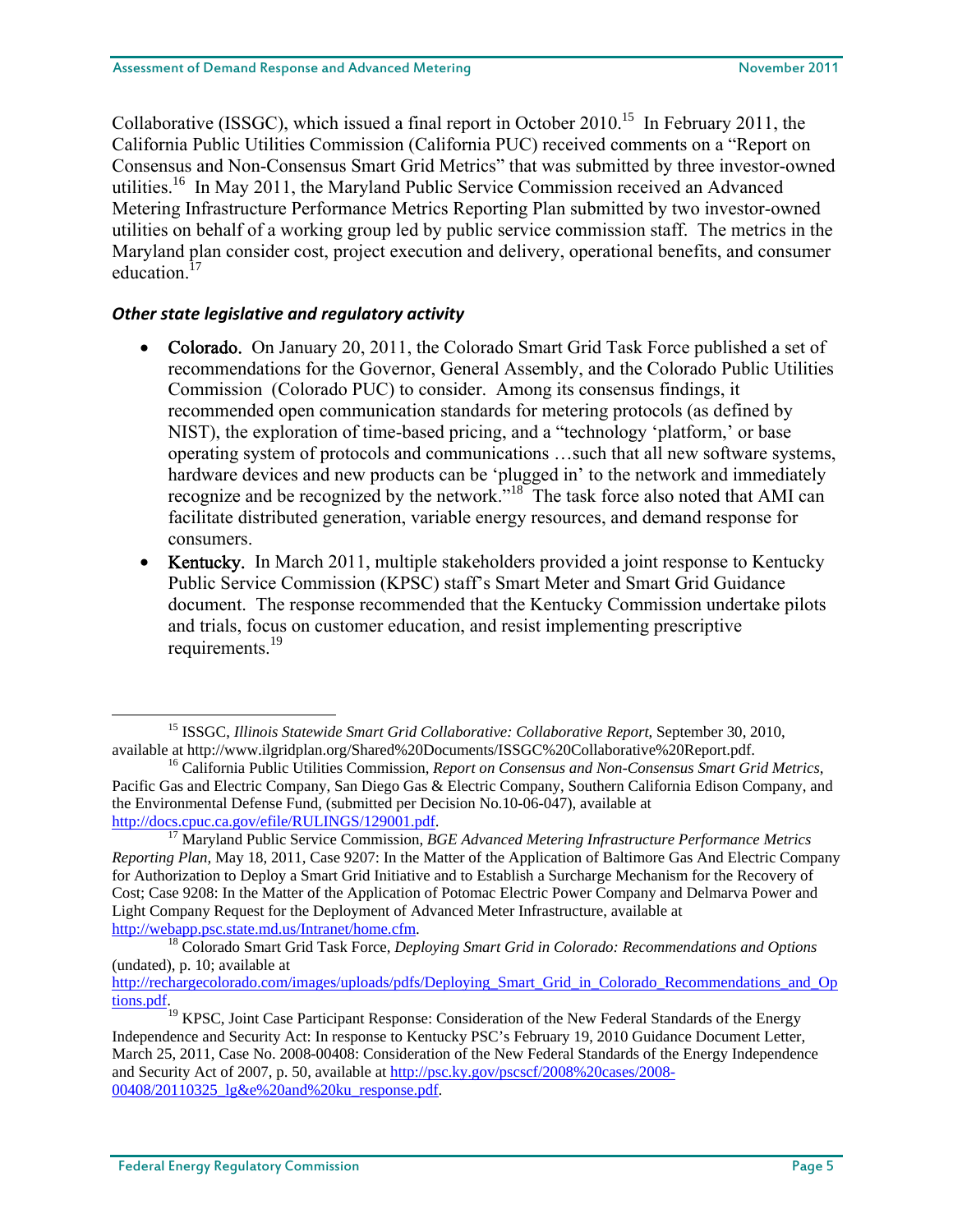Collaborative (ISSGC), which issued a final report in October 2010.<sup>15</sup> In February 2011, the California Public Utilities Commission (California PUC) received comments on a "Report on Consensus and Non-Consensus Smart Grid Metrics" that was submitted by three investor-owned utilities.<sup>16</sup> In May 2011, the Maryland Public Service Commission received an Advanced Metering Infrastructure Performance Metrics Reporting Plan submitted by two investor-owned utilities on behalf of a working group led by public service commission staff. The metrics in the Maryland plan consider cost, project execution and delivery, operational benefits, and consumer education<sup>17</sup>

## *Other state legislative and regulatory activity*

- Colorado. On January 20, 2011, the Colorado Smart Grid Task Force published a set of recommendations for the Governor, General Assembly, and the Colorado Public Utilities Commission (Colorado PUC) to consider. Among its consensus findings, it recommended open communication standards for metering protocols (as defined by NIST), the exploration of time-based pricing, and a "technology 'platform,' or base operating system of protocols and communications …such that all new software systems, hardware devices and new products can be 'plugged in' to the network and immediately recognize and be recognized by the network."<sup>18</sup> The task force also noted that AMI can facilitate distributed generation, variable energy resources, and demand response for consumers.
- Kentucky. In March 2011, multiple stakeholders provided a joint response to Kentucky Public Service Commission (KPSC) staff's Smart Meter and Smart Grid Guidance document. The response recommended that the Kentucky Commission undertake pilots and trials, focus on customer education, and resist implementing prescriptive requirements.<sup>19</sup>

<sup>&</sup>lt;sup>15</sup> ISSGC, *Illinois Statewide Smart Grid Collaborative: Collaborative Report*, September 30, 2010, available at http://www.ilgridplan.org/Shared%20Documents/ISSGC%20Collaborative%20Report.pdf.

<sup>&</sup>lt;sup>16</sup> California Public Utilities Commission, Report on Consensus and Non-Consensus Smart Grid Metrics, Pacific Gas and Electric Company, San Diego Gas & Electric Company, Southern California Edison Company, and the Environmental Defense Fund, (submitted per Decision No.10-06-047), available at http://docs.cpuc.ca.gov/efile/RULINGS/129001.pdf.

<sup>&</sup>lt;sup>17</sup> Maryland Public Service Commission, *BGE Advanced Metering Infrastructure Performance Metrics Reporting Plan*, May 18, 2011, Case 9207: In the Matter of the Application of Baltimore Gas And Electric Company for Authorization to Deploy a Smart Grid Initiative and to Establish a Surcharge Mechanism for the Recovery of Cost; Case 9208: In the Matter of the Application of Potomac Electric Power Company and Delmarva Power and Light Company Request for the Deployment of Advanced Meter Infrastructure, available at http://webapp.psc.state.md.us/Intranet/home.cfm. 18 Colorado Smart Grid Task Force, *Deploying Smart Grid in Colorado: Recommendations and Options*

<sup>(</sup>undated), p. 10; available at

http://rechargecolorado.com/images/uploads/pdfs/Deploying\_Smart\_Grid\_in\_Colorado\_Recommendations\_and\_Op tions.pdf.

<sup>&</sup>lt;sup>19</sup> KPSC, Joint Case Participant Response: Consideration of the New Federal Standards of the Energy Independence and Security Act: In response to Kentucky PSC's February 19, 2010 Guidance Document Letter, March 25, 2011, Case No. 2008-00408: Consideration of the New Federal Standards of the Energy Independence and Security Act of 2007, p. 50, available at http://psc.ky.gov/pscscf/2008%20cases/2008- 00408/20110325\_lg&e%20and%20ku\_response.pdf.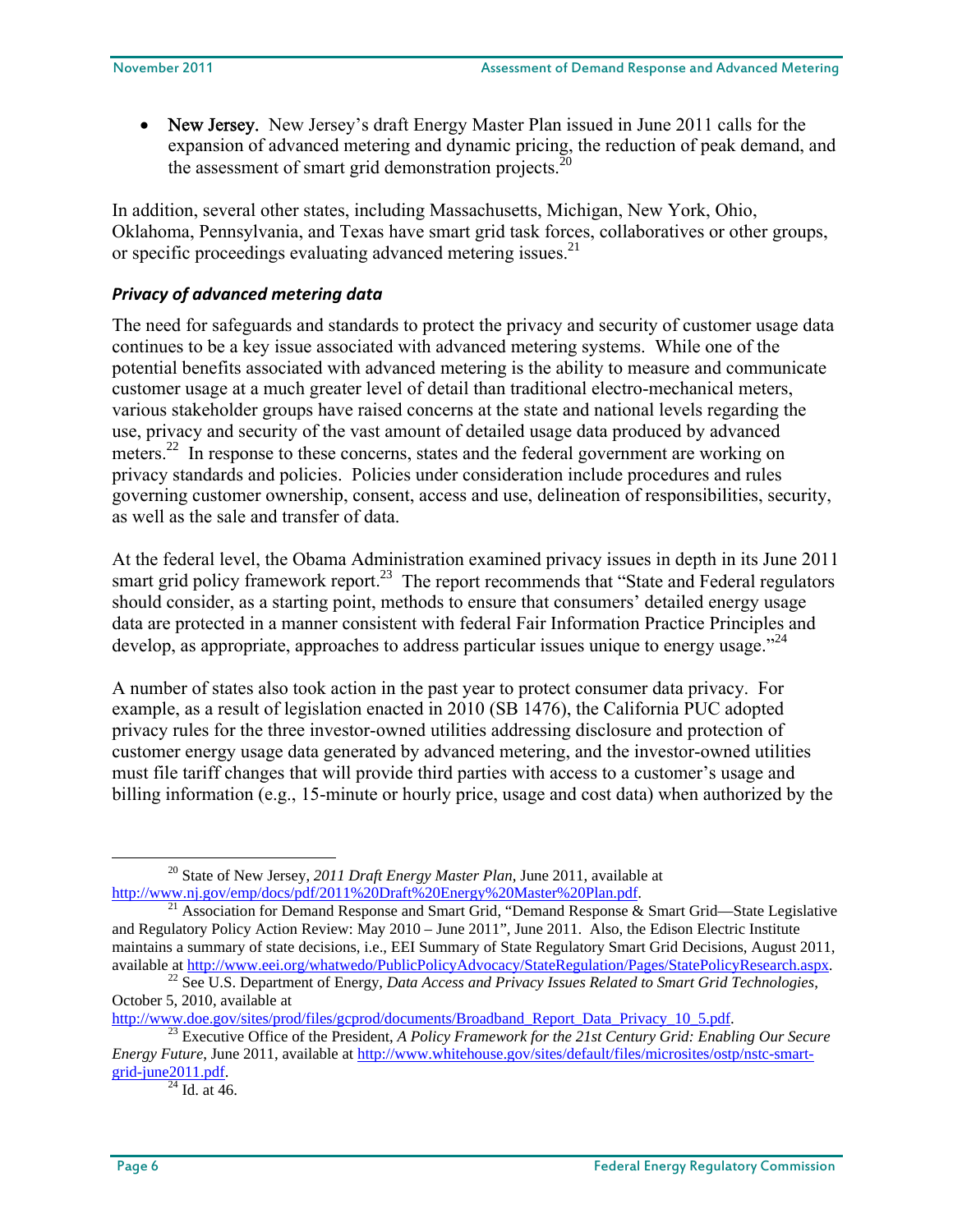• New Jersey. New Jersey's draft Energy Master Plan issued in June 2011 calls for the expansion of advanced metering and dynamic pricing, the reduction of peak demand, and the assessment of smart grid demonstration projects. $^{20}$ 

In addition, several other states, including Massachusetts, Michigan, New York, Ohio, Oklahoma, Pennsylvania, and Texas have smart grid task forces, collaboratives or other groups, or specific proceedings evaluating advanced metering issues.<sup>21</sup>

## *Privacy of advanced metering data*

The need for safeguards and standards to protect the privacy and security of customer usage data continues to be a key issue associated with advanced metering systems. While one of the potential benefits associated with advanced metering is the ability to measure and communicate customer usage at a much greater level of detail than traditional electro-mechanical meters, various stakeholder groups have raised concerns at the state and national levels regarding the use, privacy and security of the vast amount of detailed usage data produced by advanced meters.<sup>22</sup> In response to these concerns, states and the federal government are working on privacy standards and policies. Policies under consideration include procedures and rules governing customer ownership, consent, access and use, delineation of responsibilities, security, as well as the sale and transfer of data.

At the federal level, the Obama Administration examined privacy issues in depth in its June 2011 smart grid policy framework report.<sup>23</sup> The report recommends that "State and Federal regulators" should consider, as a starting point, methods to ensure that consumers' detailed energy usage data are protected in a manner consistent with federal Fair Information Practice Principles and develop, as appropriate, approaches to address particular issues unique to energy usage."<sup>24</sup>

A number of states also took action in the past year to protect consumer data privacy. For example, as a result of legislation enacted in 2010 (SB 1476), the California PUC adopted privacy rules for the three investor-owned utilities addressing disclosure and protection of customer energy usage data generated by advanced metering, and the investor-owned utilities must file tariff changes that will provide third parties with access to a customer's usage and billing information (e.g., 15-minute or hourly price, usage and cost data) when authorized by the

<sup>&</sup>lt;sup>20</sup> State of New Jersey, *2011 Draft Energy Master Plan*, June 2011, available at http://www.nj.gov/emp/docs/pdf/2011%20Draft%20Energy%20Master%20Plan.pdf.

<sup>&</sup>lt;sup>21</sup> Association for Demand Response and Smart Grid, "Demand Response & Smart Grid—State Legislative and Regulatory Policy Action Review: May 2010 – June 2011", June 2011. Also, the Edison Electric Institute maintains a summary of state decisions, i.e., EEI Summary of State Regulatory Smart Grid Decisions, August 2011, available at http://www.eei.org/whatwedo/PublicPolicyAdvocacy/StateRegulation/Pages/StatePolicyResearch.aspx. 22 See U.S. Department of Energy, *Data Access and Privacy Issues Related to Smart Grid Technologies*,

October 5, 2010, available at <br>http://www.doe.gov/sites/prod/files/gcprod/documents/Broadband Report Data Privacy 10 5.pdf.

<sup>&</sup>lt;sup>23</sup> Executive Office of the President, *A Policy Framework for the 21st Century Grid: Enabling Our Secure Energy Future*, June 2011, available at http://www.whitehouse.gov/sites/default/files/microsites/ostp/nstc-smart $grid$ -june2011.pdf.<br><sup>24</sup> Id. at 46.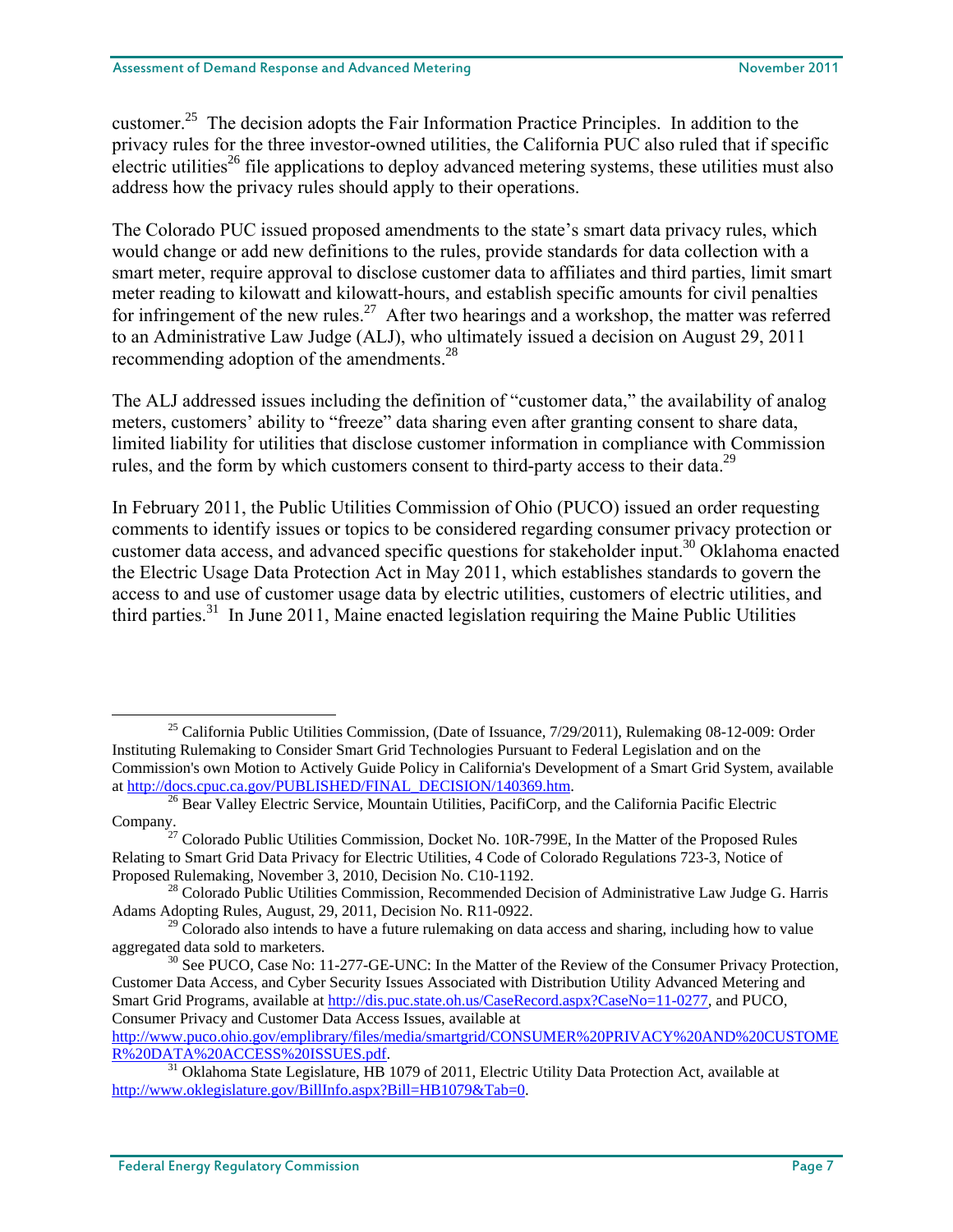customer.<sup>25</sup> The decision adopts the Fair Information Practice Principles. In addition to the privacy rules for the three investor-owned utilities, the California PUC also ruled that if specific electric utilities<sup>26</sup> file applications to deploy advanced metering systems, these utilities must also address how the privacy rules should apply to their operations.

The Colorado PUC issued proposed amendments to the state's smart data privacy rules, which would change or add new definitions to the rules, provide standards for data collection with a smart meter, require approval to disclose customer data to affiliates and third parties, limit smart meter reading to kilowatt and kilowatt-hours, and establish specific amounts for civil penalties for infringement of the new rules.<sup>27</sup> After two hearings and a workshop, the matter was referred to an Administrative Law Judge (ALJ), who ultimately issued a decision on August 29, 2011 recommending adoption of the amendments.<sup>28</sup>

The ALJ addressed issues including the definition of "customer data," the availability of analog meters, customers' ability to "freeze" data sharing even after granting consent to share data, limited liability for utilities that disclose customer information in compliance with Commission rules, and the form by which customers consent to third-party access to their data.<sup>29</sup>

In February 2011, the Public Utilities Commission of Ohio (PUCO) issued an order requesting comments to identify issues or topics to be considered regarding consumer privacy protection or customer data access, and advanced specific questions for stakeholder input.<sup>30</sup> Oklahoma enacted the Electric Usage Data Protection Act in May 2011, which establishes standards to govern the access to and use of customer usage data by electric utilities, customers of electric utilities, and third parties.<sup>31</sup> In June 2011, Maine enacted legislation requiring the Maine Public Utilities

<sup>&</sup>lt;sup>25</sup> California Public Utilities Commission, (Date of Issuance, 7/29/2011), Rulemaking 08-12-009: Order Instituting Rulemaking to Consider Smart Grid Technologies Pursuant to Federal Legislation and on the Commission's own Motion to Actively Guide Policy in California's Development of a Smart Grid System, available at http://docs.cpuc.ca.gov/PUBLISHED/FINAL\_DECISION/140369.htm.<br><sup>26</sup> Bear Valley Electric Service, Mountain Utilities, PacifiCorp, and the California Pacific Electric

Company. 27 Colorado Public Utilities Commission, Docket No. 10R-799E, In the Matter of the Proposed Rules Relating to Smart Grid Data Privacy for Electric Utilities, 4 Code of Colorado Regulations 723-3, Notice of Proposed Rulemaking, November 3, 2010, Decision No. C10-1192.<br><sup>28</sup> Colorado Public Utilities Commission, Recommended Decision of Administrative Law Judge G. Harris

Adams Adopting Rules, August, 29, 2011, Decision No. R11-0922.

 $29$  Colorado also intends to have a future rulemaking on data access and sharing, including how to value aggregated data sold to marketers.<br><sup>30</sup> See PUCO, Case No: 11-277-GE-UNC: In the Matter of the Review of the Consumer Privacy Protection,

Customer Data Access, and Cyber Security Issues Associated with Distribution Utility Advanced Metering and Smart Grid Programs, available at http://dis.puc.state.oh.us/CaseRecord.aspx?CaseNo=11-0277, and PUCO, Consumer Privacy and Customer Data Access Issues, available at

http://www.puco.ohio.gov/emplibrary/files/media/smartgrid/CONSUMER%20PRIVACY%20AND%20CUSTOME

<sup>&</sup>lt;sup>31</sup> Oklahoma State Legislature, HB 1079 of 2011, Electric Utility Data Protection Act, available at http://www.oklegislature.gov/BillInfo.aspx?Bill=HB1079&Tab=0.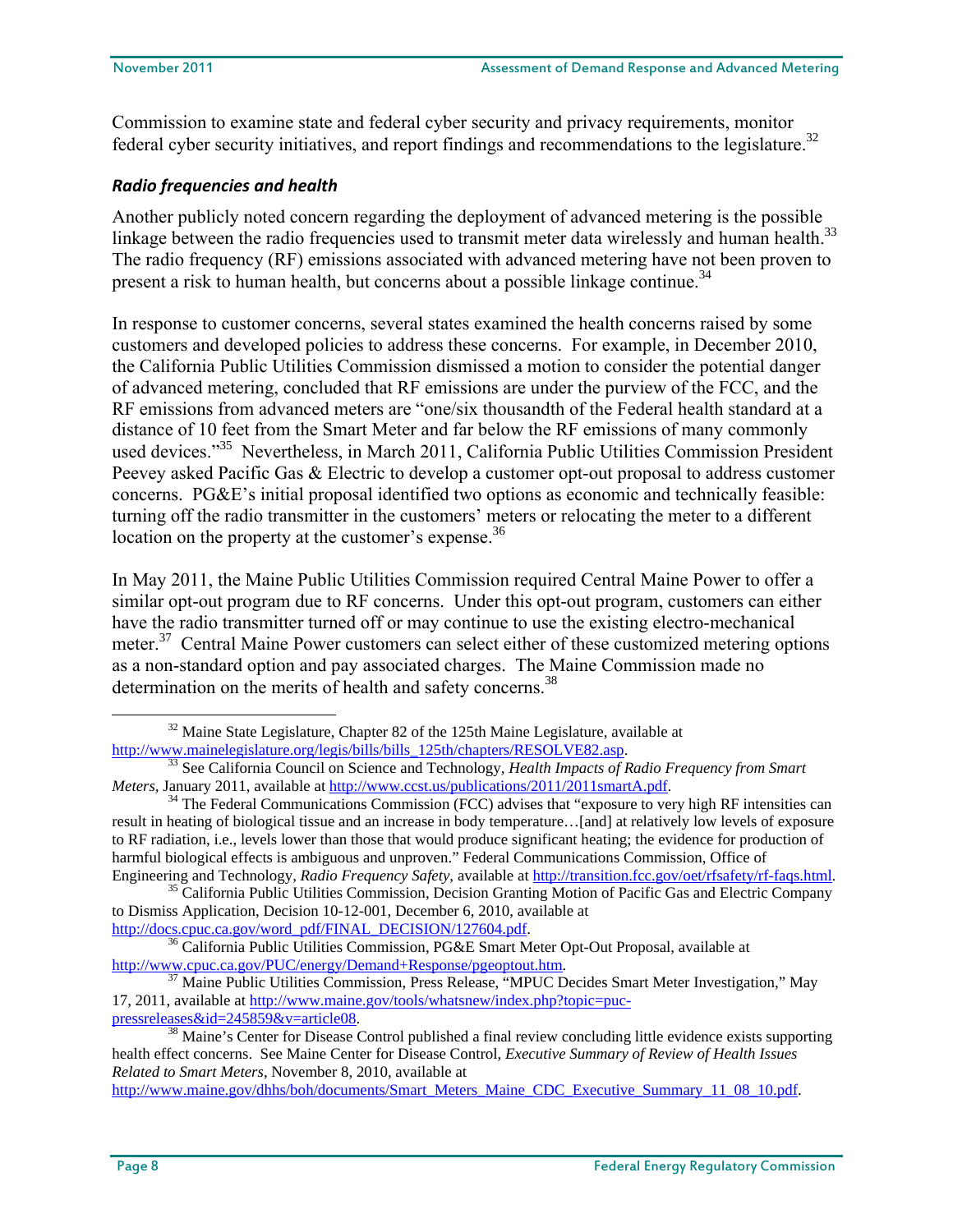Commission to examine state and federal cyber security and privacy requirements, monitor federal cyber security initiatives, and report findings and recommendations to the legislature.<sup>32</sup>

## *Radio frequencies and health*

Another publicly noted concern regarding the deployment of advanced metering is the possible linkage between the radio frequencies used to transmit meter data wirelessly and human health.<sup>33</sup> The radio frequency (RF) emissions associated with advanced metering have not been proven to present a risk to human health, but concerns about a possible linkage continue.<sup>34</sup>

In response to customer concerns, several states examined the health concerns raised by some customers and developed policies to address these concerns. For example, in December 2010, the California Public Utilities Commission dismissed a motion to consider the potential danger of advanced metering, concluded that RF emissions are under the purview of the FCC, and the RF emissions from advanced meters are "one/six thousandth of the Federal health standard at a distance of 10 feet from the Smart Meter and far below the RF emissions of many commonly used devices."<sup>35</sup> Nevertheless, in March 2011, California Public Utilities Commission President Peevey asked Pacific Gas & Electric to develop a customer opt-out proposal to address customer concerns. PG&E's initial proposal identified two options as economic and technically feasible: turning off the radio transmitter in the customers' meters or relocating the meter to a different location on the property at the customer's expense.<sup>36</sup>

In May 2011, the Maine Public Utilities Commission required Central Maine Power to offer a similar opt-out program due to RF concerns. Under this opt-out program, customers can either have the radio transmitter turned off or may continue to use the existing electro-mechanical meter.<sup>37</sup> Central Maine Power customers can select either of these customized metering options as a non-standard option and pay associated charges. The Maine Commission made no determination on the merits of health and safety concerns.<sup>38</sup>

http://www.maine.gov/dhhs/boh/documents/Smart\_Meters\_Maine\_CDC\_Executive\_Summary\_11\_08\_10.pdf.

 $32$  Maine State Legislature, Chapter 82 of the 125th Maine Legislature, available at http://www.mainelegislature.org/legis/bills/bills 125th/chapters/RESOLVE82.asp.

<sup>&</sup>lt;sup>33</sup> See California Council on Science and Technology, *Health Impacts of Radio Frequency from Smart Meters, January 2011, available at http://www.ccst.us/publications/2011/2011smartA.pdf.* 

<sup>&</sup>lt;sup>34</sup> The Federal Communications Commission (FCC) advises that "exposure to very high RF intensities can result in heating of biological tissue and an increase in body temperature…[and] at relatively low levels of exposure to RF radiation, i.e., levels lower than those that would produce significant heating; the evidence for production of harmful biological effects is ambiguous and unproven." Federal Communications Commission, Office of

Engineering and Technology, Radio Frequency Safety, available at http://transition.fcc.gov/oet/rfsafety/rf-faqs.html.<br><sup>35</sup> California Public Utilities Commission, Decision Granting Motion of Pacific Gas and Electric Compan to Dismiss Application, Decision 10-12-001, December 6, 2010, available at http://docs.cpuc.ca.gov/word\_pdf/FINAL\_DECISION/127604.pdf.

<sup>&</sup>lt;sup>36</sup> California Public Utilities Commission, PG&E Smart Meter Opt-Out Proposal, available at http://www.cpuc.ca.gov/PUC/energy/Demand+Response/pgeoptout.htm.

 $\frac{37}{37}$  Maine Public Utilities Commission, Press Release, "MPUC Decides Smart Meter Investigation," May 17, 2011, available at http://www.maine.gov/tools/whatsnew/index.php?topic=puc-<br>pressreleases&id=245859&v=article08.

<sup>&</sup>lt;sup>38</sup> Maine's Center for Disease Control published a final review concluding little evidence exists supporting health effect concerns. See Maine Center for Disease Control, *Executive Summary of Review of Health Issues Related to Smart Meters*, November 8, 2010, available at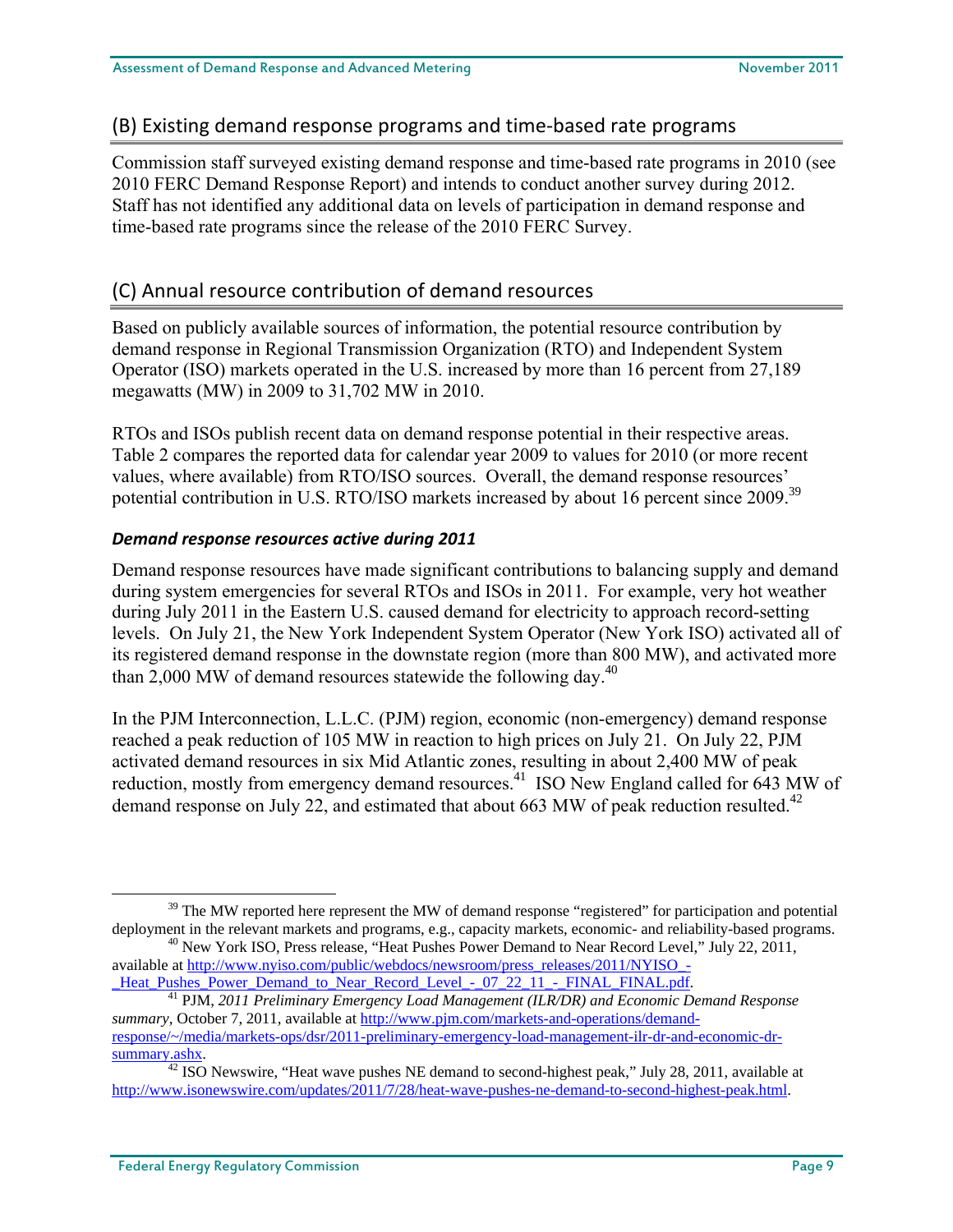## (B) Existing demand response programs and time‐based rate programs

Commission staff surveyed existing demand response and time-based rate programs in 2010 (see 2010 FERC Demand Response Report) and intends to conduct another survey during 2012. Staff has not identified any additional data on levels of participation in demand response and time-based rate programs since the release of the 2010 FERC Survey.

## (C) Annual resource contribution of demand resources

Based on publicly available sources of information, the potential resource contribution by demand response in Regional Transmission Organization (RTO) and Independent System Operator (ISO) markets operated in the U.S. increased by more than 16 percent from 27,189 megawatts (MW) in 2009 to 31,702 MW in 2010.

RTOs and ISOs publish recent data on demand response potential in their respective areas. Table 2 compares the reported data for calendar year 2009 to values for 2010 (or more recent values, where available) from RTO/ISO sources. Overall, the demand response resources' potential contribution in U.S. RTO/ISO markets increased by about 16 percent since 2009.<sup>39</sup>

## *Demand response resources active during 2011*

Demand response resources have made significant contributions to balancing supply and demand during system emergencies for several RTOs and ISOs in 2011. For example, very hot weather during July 2011 in the Eastern U.S. caused demand for electricity to approach record-setting levels. On July 21, the New York Independent System Operator (New York ISO) activated all of its registered demand response in the downstate region (more than 800 MW), and activated more than 2,000 MW of demand resources statewide the following day.<sup>40</sup>

In the PJM Interconnection, L.L.C. (PJM) region, economic (non-emergency) demand response reached a peak reduction of 105 MW in reaction to high prices on July 21. On July 22, PJM activated demand resources in six Mid Atlantic zones, resulting in about 2,400 MW of peak reduction, mostly from emergency demand resources.<sup>41</sup> ISO New England called for 643 MW of demand response on July 22, and estimated that about 663 MW of peak reduction resulted.<sup>42</sup>

<sup>&</sup>lt;sup>39</sup> The MW reported here represent the MW of demand response "registered" for participation and potential deployment in the relevant markets and programs, e.g., capacity markets, economic- and reliability-based programs.<br><sup>40</sup> New York ISO, Press release, "Heat Pushes Power Demand to Near Record Level," July 22, 2011,

available at http://www.nyiso.com/public/webdocs/newsroom/press\_releases/2011/NYISO\_-

\_Heat\_Pushes\_Power\_Demand\_to\_Near\_Record\_Level\_-\_07\_22\_11\_-\_FINAL\_FINAL.pdf. 41 PJM, *2011 Preliminary Emergency Load Management (ILR/DR) and Economic Demand Response summary,* October 7, 2011, available at http://www.pjm.com/markets-and-operations/demandresponse/~/media/markets-ops/dsr/2011-preliminary-emergency-load-management-ilr-dr-and-economic-drsummary.ashx. 42 ISO Newswire, "Heat wave pushes NE demand to second-highest peak," July 28, 2011, available at

http://www.isonewswire.com/updates/2011/7/28/heat-wave-pushes-ne-demand-to-second-highest-peak.html.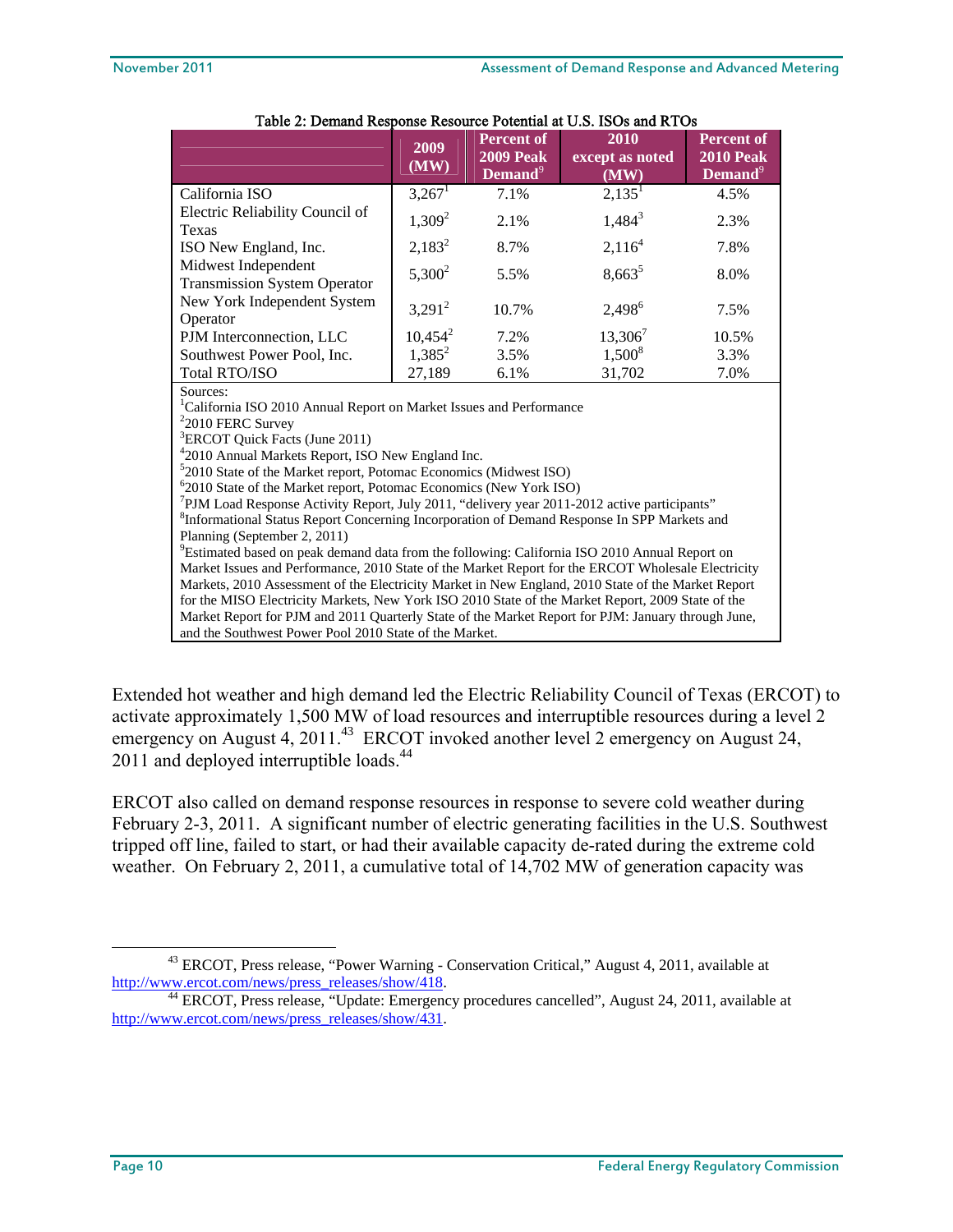|                                                                                                                                                                                                                                   | 2009<br>(MW) | <b>Percent of</b><br><b>2009 Peak</b><br>Demand <sup>9</sup> | 2010<br>except as noted<br>(MW) | <b>Percent of</b><br><b>2010 Peak</b><br>Demand <sup>9</sup> |  |  |  |
|-----------------------------------------------------------------------------------------------------------------------------------------------------------------------------------------------------------------------------------|--------------|--------------------------------------------------------------|---------------------------------|--------------------------------------------------------------|--|--|--|
| California ISO                                                                                                                                                                                                                    | $3,267^1$    | 7.1%                                                         | $2,135^{\mathrm{T}}$            | 4.5%                                                         |  |  |  |
| Electric Reliability Council of<br>Texas                                                                                                                                                                                          | $1,309^2$    | 2.1%                                                         | $1,484^3$                       | 2.3%                                                         |  |  |  |
| ISO New England, Inc.                                                                                                                                                                                                             | $2,183^2$    | 8.7%                                                         | 2,116 <sup>4</sup>              | 7.8%                                                         |  |  |  |
| Midwest Independent<br><b>Transmission System Operator</b><br>New York Independent System<br>Operator                                                                                                                             | $5,300^2$    | 5.5%                                                         | $8,663^5$                       | 8.0%                                                         |  |  |  |
|                                                                                                                                                                                                                                   | $3,291^2$    | 10.7%                                                        | 2,498 <sup>6</sup>              | 7.5%                                                         |  |  |  |
| PJM Interconnection, LLC                                                                                                                                                                                                          | $10,454^2$   | 7.2%                                                         | $13,306^7$                      | 10.5%                                                        |  |  |  |
| Southwest Power Pool, Inc.                                                                                                                                                                                                        | $1,385^2$    | 3.5%                                                         | $1,500^8$                       | 3.3%                                                         |  |  |  |
| Total RTO/ISO                                                                                                                                                                                                                     | 27,189       | 6.1%                                                         | 31,702                          | 7.0%                                                         |  |  |  |
| Sources:<br><sup>1</sup> California ISO 2010 Annual Report on Market Issues and Performance<br>$22010$ FERC Survey<br><sup>3</sup> ERCOT Quick Facts (June 2011)<br><sup>4</sup> 2010 Annual Markets Report, ISO New England Inc. |              |                                                              |                                 |                                                              |  |  |  |
| $52010$ State of the Market report, Potomac Economics (Midwest ISO)                                                                                                                                                               |              |                                                              |                                 |                                                              |  |  |  |
| <sup>6</sup> 2010 State of the Market report, Potomac Economics (New York ISO)                                                                                                                                                    |              |                                                              |                                 |                                                              |  |  |  |
| $\frac{7}{1}$ PJM Load Response Activity Report, July 2011, "delivery year 2011-2012 active participants"                                                                                                                         |              |                                                              |                                 |                                                              |  |  |  |
| <sup>8</sup> Informational Status Report Concerning Incorporation of Demand Response In SPP Markets and                                                                                                                           |              |                                                              |                                 |                                                              |  |  |  |
| Planning (September 2, 2011)<br>$^{9}$ Estimated based on poek demand data from the following: Colifornia ISO 2010 Annual Penert on                                                                                               |              |                                                              |                                 |                                                              |  |  |  |

### Table 2: Demand Response Resource Potential at U.S. ISOs and RTOs

<sup>9</sup>Estimated based on peak demand data from the following: California ISO 2010 Annual Report on Market Issues and Performance, 2010 State of the Market Report for the ERCOT Wholesale Electricity Markets, 2010 Assessment of the Electricity Market in New England, 2010 State of the Market Report for the MISO Electricity Markets, New York ISO 2010 State of the Market Report, 2009 State of the Market Report for PJM and 2011 Quarterly State of the Market Report for PJM: January through June, and the Southwest Power Pool 2010 State of the Market.

Extended hot weather and high demand led the Electric Reliability Council of Texas (ERCOT) to activate approximately 1,500 MW of load resources and interruptible resources during a level 2 emergency on August 4, 2011.<sup>43</sup> ERCOT invoked another level 2 emergency on August 24, 2011 and deployed interruptible loads.<sup>44</sup>

ERCOT also called on demand response resources in response to severe cold weather during February 2-3, 2011. A significant number of electric generating facilities in the U.S. Southwest tripped off line, failed to start, or had their available capacity de-rated during the extreme cold weather. On February 2, 2011, a cumulative total of 14,702 MW of generation capacity was

<sup>&</sup>lt;sup>43</sup> ERCOT, Press release, "Power Warning - Conservation Critical," August 4, 2011, available at

http://www.ercot.com/news/press\_releases/show/418.<br><sup>44</sup> ERCOT, Press release, "Update: Emergency procedures cancelled", August 24, 2011, available at http://www.ercot.com/news/press\_releases/show/431.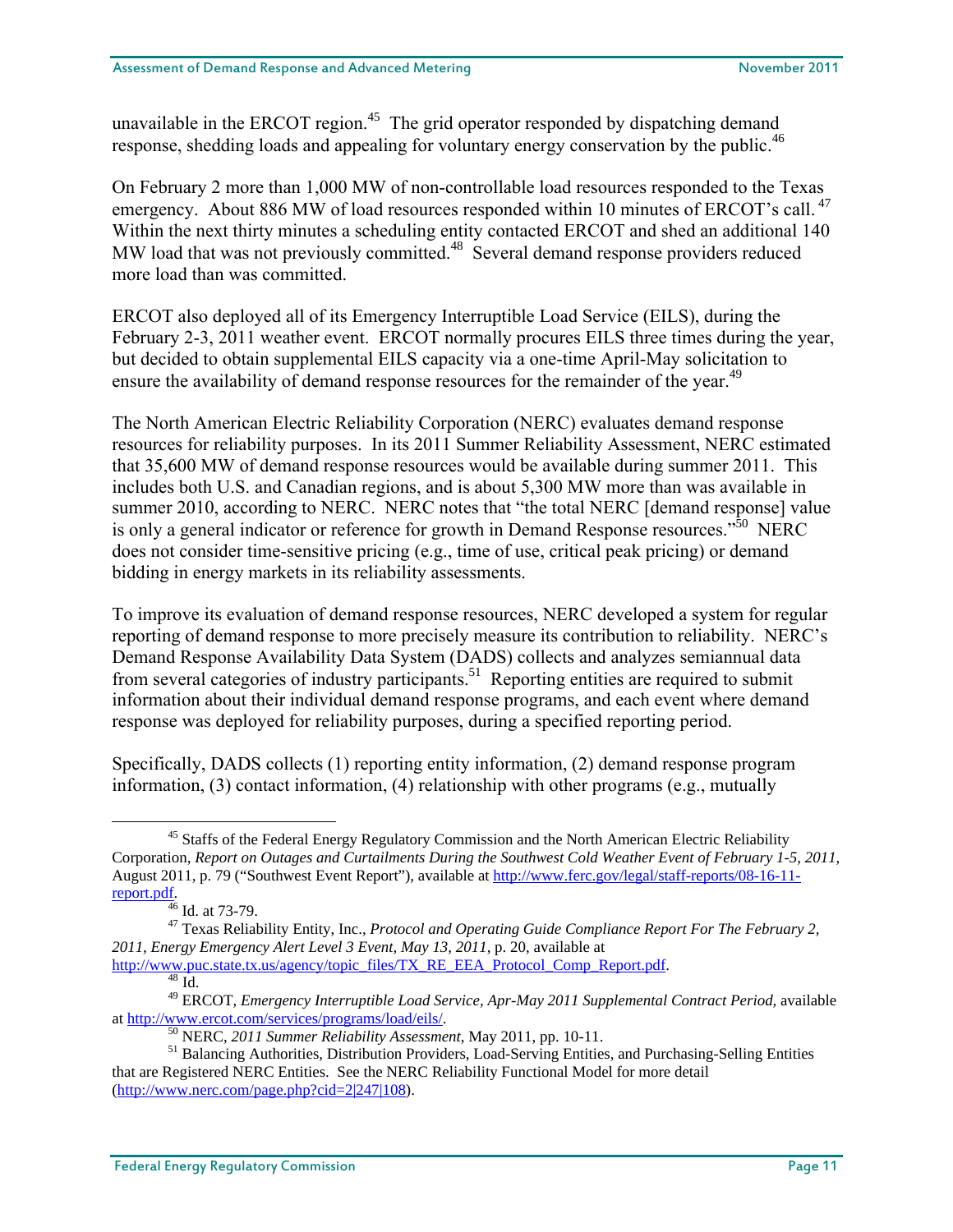unavailable in the ERCOT region.<sup>45</sup> The grid operator responded by dispatching demand response, shedding loads and appealing for voluntary energy conservation by the public.<sup>46</sup>

On February 2 more than 1,000 MW of non-controllable load resources responded to the Texas emergency. About 886 MW of load resources responded within 10 minutes of ERCOT's call.<sup>47</sup> Within the next thirty minutes a scheduling entity contacted ERCOT and shed an additional 140 MW load that was not previously committed.<sup>48</sup> Several demand response providers reduced more load than was committed.

ERCOT also deployed all of its Emergency Interruptible Load Service (EILS), during the February 2-3, 2011 weather event. ERCOT normally procures EILS three times during the year, but decided to obtain supplemental EILS capacity via a one-time April-May solicitation to ensure the availability of demand response resources for the remainder of the year.<sup>49</sup>

The North American Electric Reliability Corporation (NERC) evaluates demand response resources for reliability purposes. In its 2011 Summer Reliability Assessment, NERC estimated that 35,600 MW of demand response resources would be available during summer 2011. This includes both U.S. and Canadian regions, and is about 5,300 MW more than was available in summer 2010, according to NERC. NERC notes that "the total NERC [demand response] value is only a general indicator or reference for growth in Demand Response resources."<sup>50</sup> NERC does not consider time-sensitive pricing (e.g., time of use, critical peak pricing) or demand bidding in energy markets in its reliability assessments.

To improve its evaluation of demand response resources, NERC developed a system for regular reporting of demand response to more precisely measure its contribution to reliability. NERC's Demand Response Availability Data System (DADS) collects and analyzes semiannual data from several categories of industry participants.<sup>51</sup> Reporting entities are required to submit information about their individual demand response programs, and each event where demand response was deployed for reliability purposes, during a specified reporting period.

Specifically, DADS collects (1) reporting entity information, (2) demand response program information, (3) contact information, (4) relationship with other programs (e.g., mutually

<sup>&</sup>lt;sup>45</sup> Staffs of the Federal Energy Regulatory Commission and the North American Electric Reliability Corporation, *Report on Outages and Curtailments During the Southwest Cold Weather Event of February 1-5, 2011*, August 2011, p. 79 ("Southwest Event Report"), available at http://www.ferc.gov/legal/staff-reports/08-16-11 report.pdf.

 $46$  Id. at 73-79.

<sup>47</sup> Texas Reliability Entity, Inc., *Protocol and Operating Guide Compliance Report For The February 2, 2011, Energy Emergency Alert Level 3 Event, May 13, 2011*, p. 20, available at http://www.puc.state.tx.us/agency/topic\_files/TX\_RE\_EEA\_Protocol\_Comp\_Report.pdf.

<sup>&</sup>lt;sup>49</sup> ERCOT, *Emergency Interruptible Load Service, Apr-May 2011 Supplemental Contract Period*, available at http://www.ercot.com/services/programs/load/eils/.

 $^{50}$  NERC, 2011 Summer Reliability Assessment, May 2011, pp. 10-11.<br><sup>51</sup> Balancing Authorities, Distribution Providers, Load-Serving Entities, and Purchasing-Selling Entities that are Registered NERC Entities. See the NERC Reliability Functional Model for more detail (http://www.nerc.com/page.php?cid=2|247|108).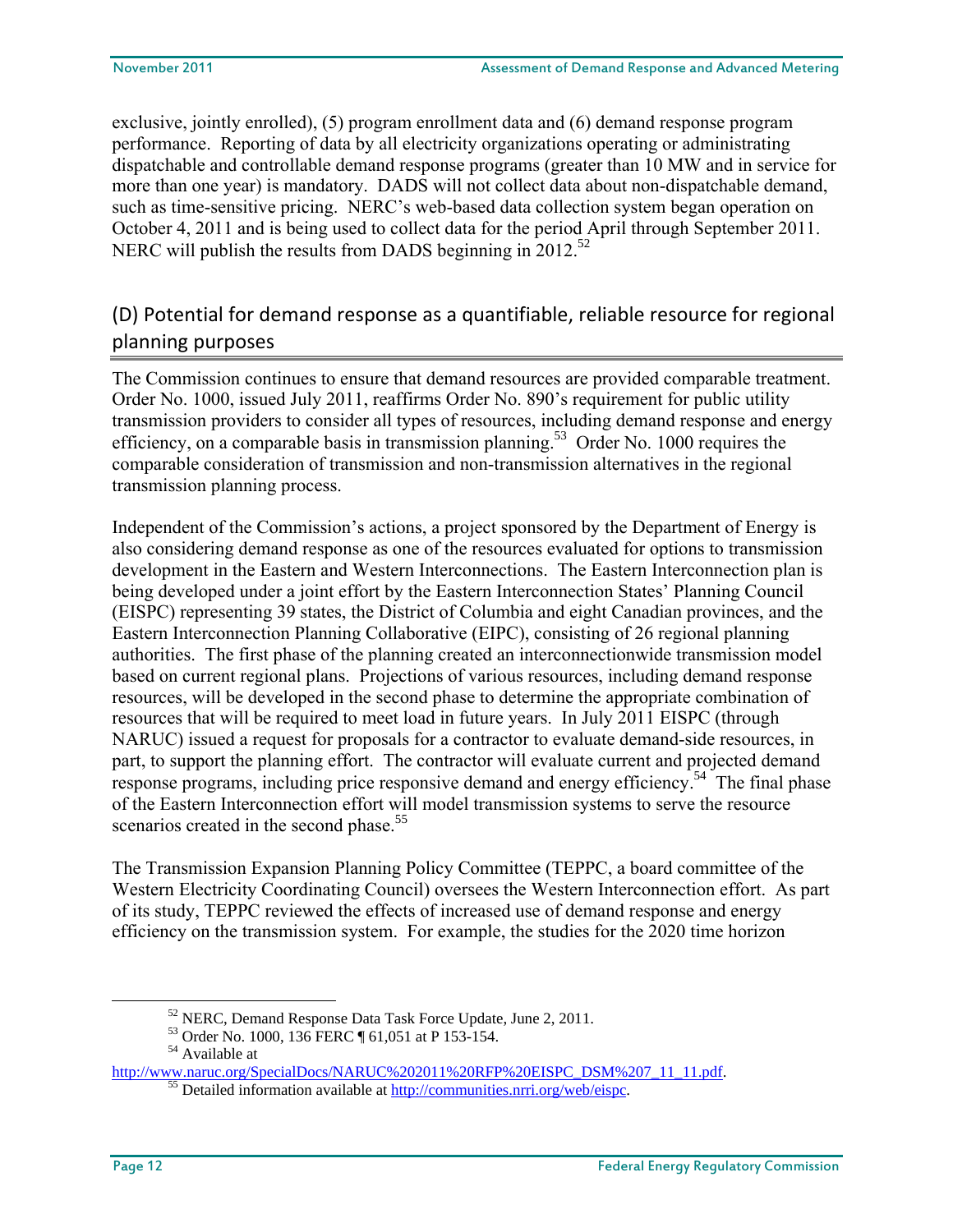exclusive, jointly enrolled), (5) program enrollment data and (6) demand response program performance. Reporting of data by all electricity organizations operating or administrating dispatchable and controllable demand response programs (greater than 10 MW and in service for more than one year) is mandatory. DADS will not collect data about non-dispatchable demand, such as time-sensitive pricing. NERC's web-based data collection system began operation on October 4, 2011 and is being used to collect data for the period April through September 2011. NERC will publish the results from DADS beginning in 2012.<sup>52</sup>

## (D) Potential for demand response as a quantifiable, reliable resource for regional planning purposes

The Commission continues to ensure that demand resources are provided comparable treatment. Order No. 1000, issued July 2011, reaffirms Order No. 890's requirement for public utility transmission providers to consider all types of resources, including demand response and energy efficiency, on a comparable basis in transmission planning.<sup>53</sup> Order No. 1000 requires the comparable consideration of transmission and non-transmission alternatives in the regional transmission planning process.

Independent of the Commission's actions, a project sponsored by the Department of Energy is also considering demand response as one of the resources evaluated for options to transmission development in the Eastern and Western Interconnections. The Eastern Interconnection plan is being developed under a joint effort by the Eastern Interconnection States' Planning Council (EISPC) representing 39 states, the District of Columbia and eight Canadian provinces, and the Eastern Interconnection Planning Collaborative (EIPC), consisting of 26 regional planning authorities. The first phase of the planning created an interconnectionwide transmission model based on current regional plans. Projections of various resources, including demand response resources, will be developed in the second phase to determine the appropriate combination of resources that will be required to meet load in future years. In July 2011 EISPC (through NARUC) issued a request for proposals for a contractor to evaluate demand-side resources, in part, to support the planning effort. The contractor will evaluate current and projected demand response programs, including price responsive demand and energy efficiency.<sup>54</sup> The final phase of the Eastern Interconnection effort will model transmission systems to serve the resource scenarios created in the second phase.<sup>55</sup>

The Transmission Expansion Planning Policy Committee (TEPPC, a board committee of the Western Electricity Coordinating Council) oversees the Western Interconnection effort. As part of its study, TEPPC reviewed the effects of increased use of demand response and energy efficiency on the transmission system. For example, the studies for the 2020 time horizon

52 NERC, Demand Response Data Task Force Update, June 2, 2011.

<sup>53</sup> Order No. 1000, 136 FERC ¶ 61,051 at P 153-154.

<sup>54</sup> Available at

http://www.naruc.org/SpecialDocs/NARUC%202011%20RFP%20EISPC\_DSM%207\_11\_11.pdf. 55 Detailed information available at http://communities.nrri.org/web/eispc.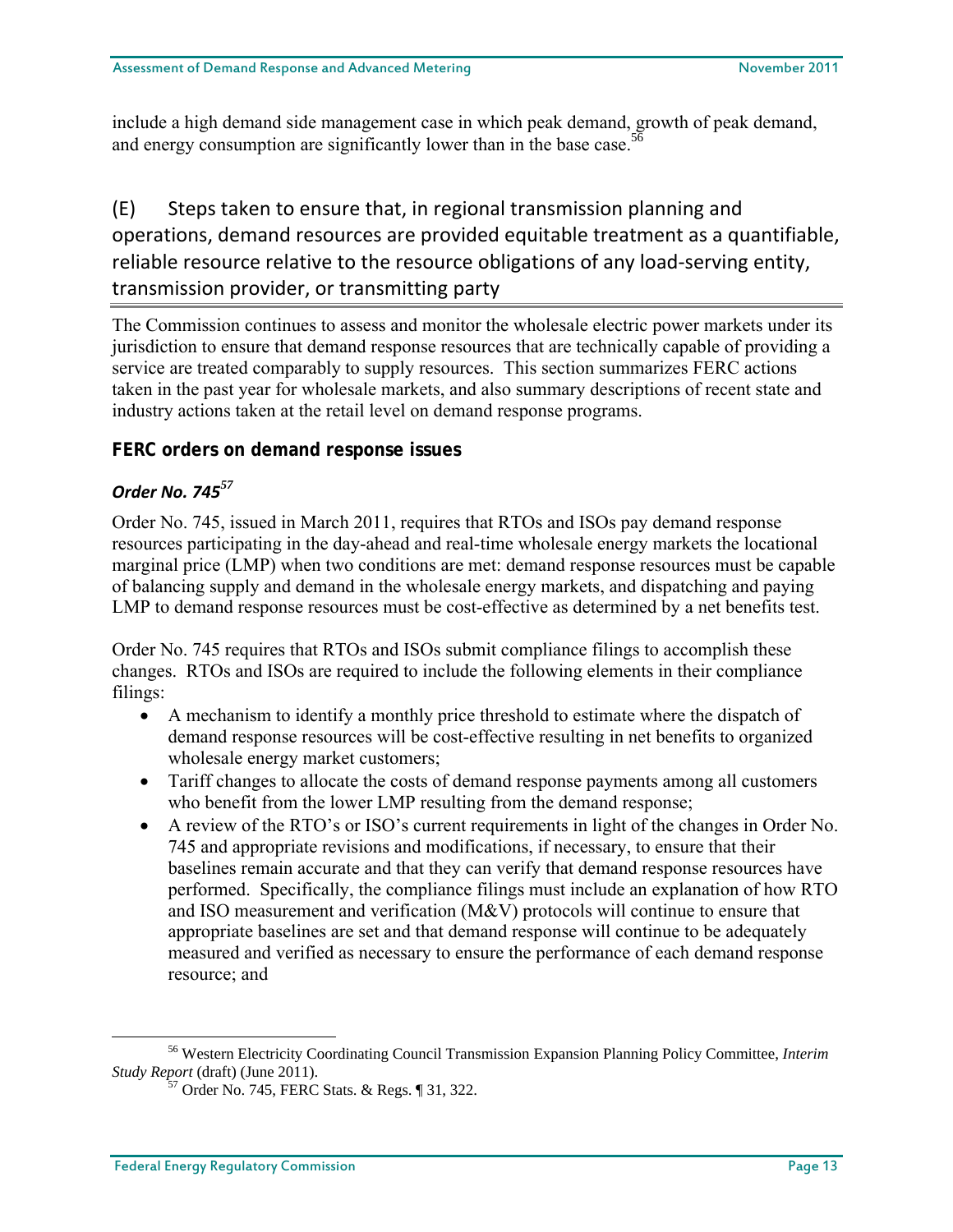include a high demand side management case in which peak demand, growth of peak demand, and energy consumption are significantly lower than in the base case.<sup>56</sup>

## (E) Steps taken to ensure that, in regional transmission planning and operations, demand resources are provided equitable treatment as a quantifiable, reliable resource relative to the resource obligations of any load‐serving entity, transmission provider, or transmitting party

The Commission continues to assess and monitor the wholesale electric power markets under its jurisdiction to ensure that demand response resources that are technically capable of providing a service are treated comparably to supply resources. This section summarizes FERC actions taken in the past year for wholesale markets, and also summary descriptions of recent state and industry actions taken at the retail level on demand response programs.

## **FERC orders on demand response issues**

## *Order No. 745<sup>57</sup>*

Order No. 745, issued in March 2011, requires that RTOs and ISOs pay demand response resources participating in the day-ahead and real-time wholesale energy markets the locational marginal price (LMP) when two conditions are met: demand response resources must be capable of balancing supply and demand in the wholesale energy markets, and dispatching and paying LMP to demand response resources must be cost-effective as determined by a net benefits test.

Order No. 745 requires that RTOs and ISOs submit compliance filings to accomplish these changes. RTOs and ISOs are required to include the following elements in their compliance filings:

- A mechanism to identify a monthly price threshold to estimate where the dispatch of demand response resources will be cost-effective resulting in net benefits to organized wholesale energy market customers;
- Tariff changes to allocate the costs of demand response payments among all customers who benefit from the lower LMP resulting from the demand response;
- A review of the RTO's or ISO's current requirements in light of the changes in Order No. 745 and appropriate revisions and modifications, if necessary, to ensure that their baselines remain accurate and that they can verify that demand response resources have performed. Specifically, the compliance filings must include an explanation of how RTO and ISO measurement and verification (M&V) protocols will continue to ensure that appropriate baselines are set and that demand response will continue to be adequately measured and verified as necessary to ensure the performance of each demand response resource; and

56 Western Electricity Coordinating Council Transmission Expansion Planning Policy Committee, *Interim Study Report* (draft) (June 2011). 57 Order No. 745, FERC Stats. & Regs. ¶ 31, 322.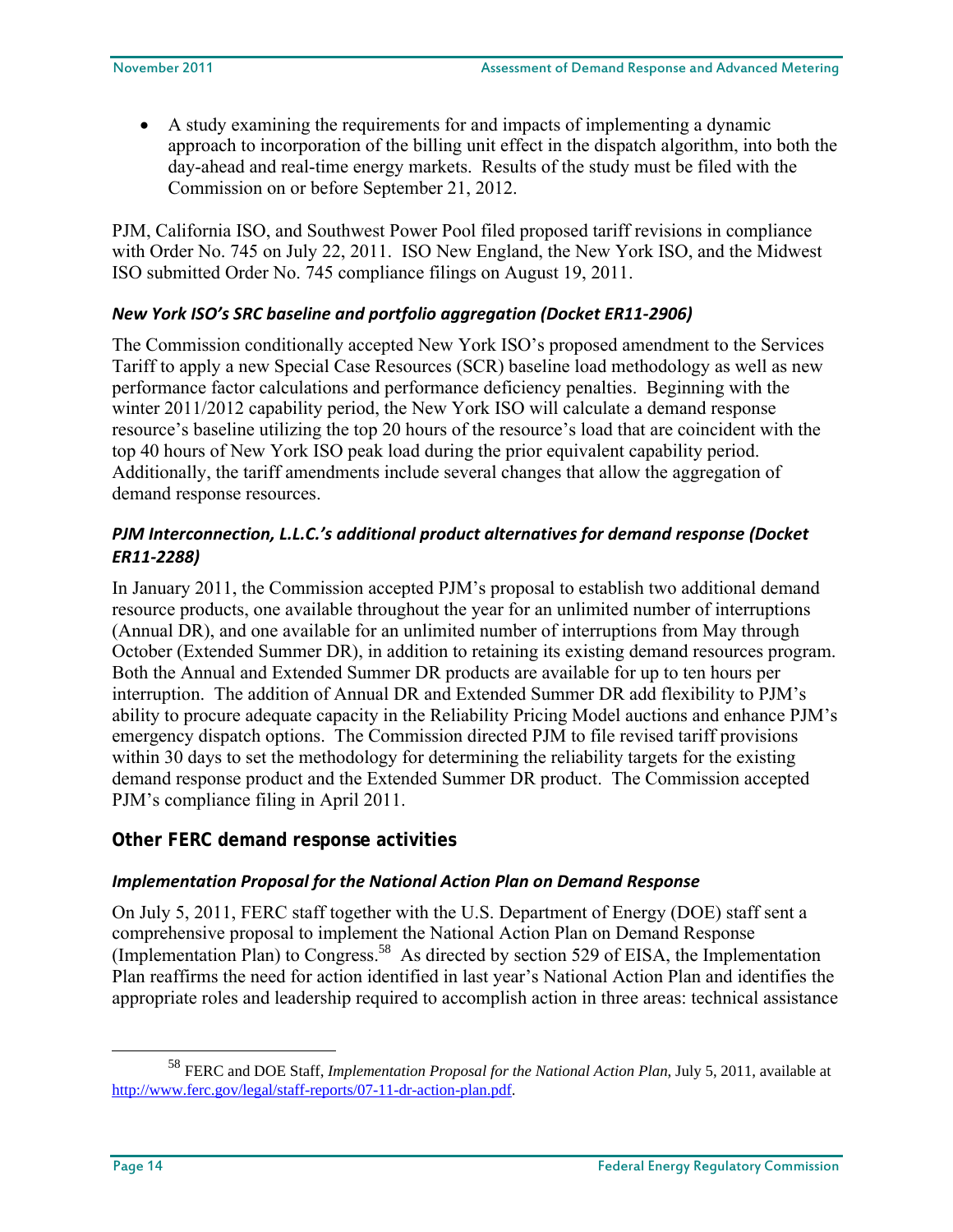A study examining the requirements for and impacts of implementing a dynamic approach to incorporation of the billing unit effect in the dispatch algorithm, into both the day-ahead and real-time energy markets. Results of the study must be filed with the Commission on or before September 21, 2012.

PJM, California ISO, and Southwest Power Pool filed proposed tariff revisions in compliance with Order No. 745 on July 22, 2011. ISO New England, the New York ISO, and the Midwest ISO submitted Order No. 745 compliance filings on August 19, 2011.

## *New York ISO's SRC baseline and portfolio aggregation (Docket ER11‐2906)*

The Commission conditionally accepted New York ISO's proposed amendment to the Services Tariff to apply a new Special Case Resources (SCR) baseline load methodology as well as new performance factor calculations and performance deficiency penalties. Beginning with the winter 2011/2012 capability period, the New York ISO will calculate a demand response resource's baseline utilizing the top 20 hours of the resource's load that are coincident with the top 40 hours of New York ISO peak load during the prior equivalent capability period. Additionally, the tariff amendments include several changes that allow the aggregation of demand response resources.

## *PJM Interconnection, L.L.C.'s additional product alternatives for demand response (Docket ER11‐2288)*

In January 2011, the Commission accepted PJM's proposal to establish two additional demand resource products, one available throughout the year for an unlimited number of interruptions (Annual DR), and one available for an unlimited number of interruptions from May through October (Extended Summer DR), in addition to retaining its existing demand resources program. Both the Annual and Extended Summer DR products are available for up to ten hours per interruption. The addition of Annual DR and Extended Summer DR add flexibility to PJM's ability to procure adequate capacity in the Reliability Pricing Model auctions and enhance PJM's emergency dispatch options. The Commission directed PJM to file revised tariff provisions within 30 days to set the methodology for determining the reliability targets for the existing demand response product and the Extended Summer DR product. The Commission accepted PJM's compliance filing in April 2011.

## **Other FERC demand response activities**

## *Implementation Proposal for the National Action Plan on Demand Response*

On July 5, 2011, FERC staff together with the U.S. Department of Energy (DOE) staff sent a comprehensive proposal to implement the National Action Plan on Demand Response (Implementation Plan) to Congress.<sup>58</sup> As directed by section 529 of EISA, the Implementation Plan reaffirms the need for action identified in last year's National Action Plan and identifies the appropriate roles and leadership required to accomplish action in three areas: technical assistance

<sup>58</sup> FERC and DOE Staff, *Implementation Proposal for the National Action Plan*, July 5, 2011, available at http://www.ferc.gov/legal/staff-reports/07-11-dr-action-plan.pdf.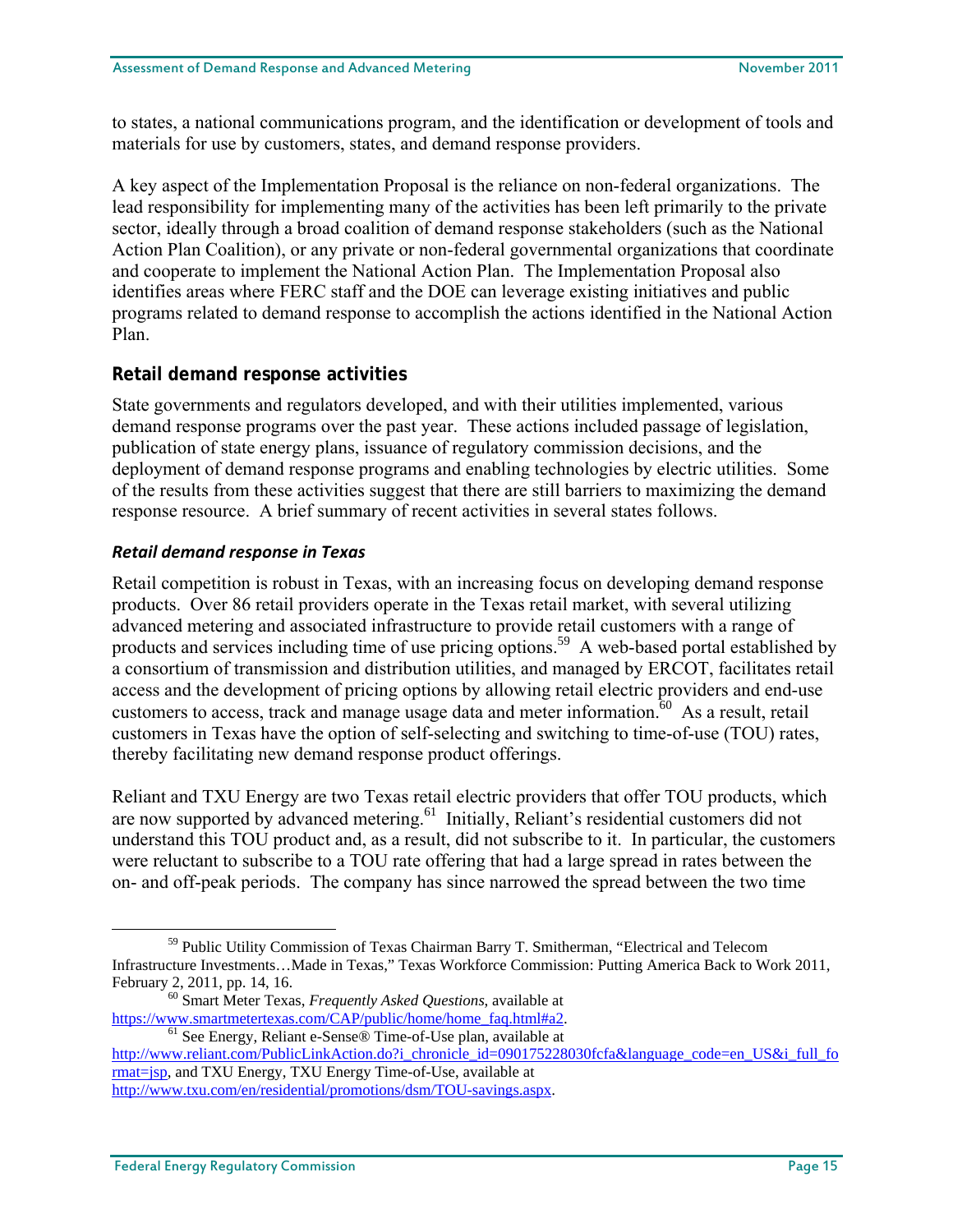to states, a national communications program, and the identification or development of tools and materials for use by customers, states, and demand response providers.

A key aspect of the Implementation Proposal is the reliance on non-federal organizations. The lead responsibility for implementing many of the activities has been left primarily to the private sector, ideally through a broad coalition of demand response stakeholders (such as the National Action Plan Coalition), or any private or non-federal governmental organizations that coordinate and cooperate to implement the National Action Plan. The Implementation Proposal also identifies areas where FERC staff and the DOE can leverage existing initiatives and public programs related to demand response to accomplish the actions identified in the National Action Plan.

## **Retail demand response activities**

State governments and regulators developed, and with their utilities implemented, various demand response programs over the past year. These actions included passage of legislation, publication of state energy plans, issuance of regulatory commission decisions, and the deployment of demand response programs and enabling technologies by electric utilities. Some of the results from these activities suggest that there are still barriers to maximizing the demand response resource. A brief summary of recent activities in several states follows.

## *Retail demand response in Texas*

Retail competition is robust in Texas, with an increasing focus on developing demand response products. Over 86 retail providers operate in the Texas retail market, with several utilizing advanced metering and associated infrastructure to provide retail customers with a range of products and services including time of use pricing options.<sup>59</sup> A web-based portal established by a consortium of transmission and distribution utilities, and managed by ERCOT, facilitates retail access and the development of pricing options by allowing retail electric providers and end-use customers to access, track and manage usage data and meter information.<sup>60</sup> As a result, retail customers in Texas have the option of self-selecting and switching to time-of-use (TOU) rates, thereby facilitating new demand response product offerings.

Reliant and TXU Energy are two Texas retail electric providers that offer TOU products, which are now supported by advanced metering.<sup>61</sup> Initially, Reliant's residential customers did not understand this TOU product and, as a result, did not subscribe to it. In particular, the customers were reluctant to subscribe to a TOU rate offering that had a large spread in rates between the on- and off-peak periods. The company has since narrowed the spread between the two time

 $h<sup>61</sup>$  See Energy, Reliant e-Sense® Time-of-Use plan, available at

http://www.reliant.com/PublicLinkAction.do?i\_chronicle\_id=090175228030fcfa&language\_code=en\_US&i\_full\_fo rmat=jsp, and TXU Energy, TXU Energy Time-of-Use, available at

59 Public Utility Commission of Texas Chairman Barry T. Smitherman, "Electrical and Telecom Infrastructure Investments…Made in Texas," Texas Workforce Commission: Putting America Back to Work 2011,

February 2, 2011, pp. 14, 16.<br><sup>60</sup> Smart Meter Texas, *Frequently Asked Questions*, available at https://www.smartmetertexas.com/CAP/public/home/home faq.html#a2.

http://www.txu.com/en/residential/promotions/dsm/TOU-savings.aspx.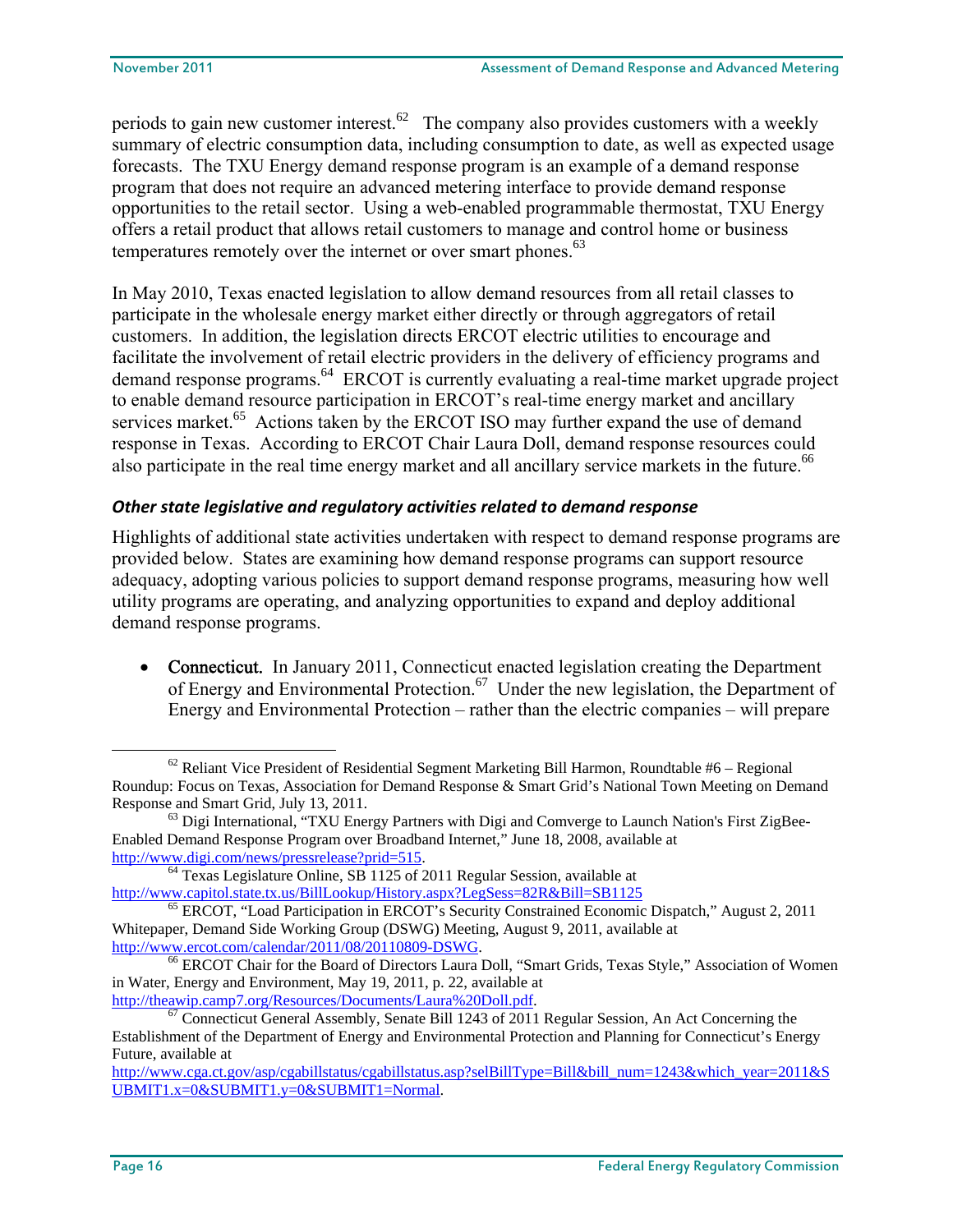periods to gain new customer interest.<sup>62</sup> The company also provides customers with a weekly summary of electric consumption data, including consumption to date, as well as expected usage forecasts. The TXU Energy demand response program is an example of a demand response program that does not require an advanced metering interface to provide demand response opportunities to the retail sector. Using a web-enabled programmable thermostat, TXU Energy offers a retail product that allows retail customers to manage and control home or business temperatures remotely over the internet or over smart phones.<sup>63</sup>

In May 2010, Texas enacted legislation to allow demand resources from all retail classes to participate in the wholesale energy market either directly or through aggregators of retail customers. In addition, the legislation directs ERCOT electric utilities to encourage and facilitate the involvement of retail electric providers in the delivery of efficiency programs and demand response programs.<sup>64</sup> ERCOT is currently evaluating a real-time market upgrade project to enable demand resource participation in ERCOT's real-time energy market and ancillary services market.<sup>65</sup> Actions taken by the ERCOT ISO may further expand the use of demand response in Texas. According to ERCOT Chair Laura Doll, demand response resources could also participate in the real time energy market and all ancillary service markets in the future.<sup>66</sup>

## *Other state legislative and regulatory activities related to demand response*

Highlights of additional state activities undertaken with respect to demand response programs are provided below. States are examining how demand response programs can support resource adequacy, adopting various policies to support demand response programs, measuring how well utility programs are operating, and analyzing opportunities to expand and deploy additional demand response programs.

• Connecticut. In January 2011, Connecticut enacted legislation creating the Department of Energy and Environmental Protection.<sup>67</sup> Under the new legislation, the Department of Energy and Environmental Protection – rather than the electric companies – will prepare

 $\frac{67}{20}$  Connecticut General Assembly, Senate Bill 1243 of 2011 Regular Session, An Act Concerning the

 $62$  Reliant Vice President of Residential Segment Marketing Bill Harmon, Roundtable #6 – Regional Roundup: Focus on Texas, Association for Demand Response & Smart Grid's National Town Meeting on Demand Response and Smart Grid, July 13, 2011.<br><sup>63</sup> Digi International, "TXU Energy Partners with Digi and Comverge to Launch Nation's First ZigBee-

Enabled Demand Response Program over Broadband Internet," June 18, 2008, available at

http://www.digi.com/news/pressrelease?prid=515.<br><sup>64</sup> Texas Legislature Online, SB 1125 of 2011 Regular Session, available at

http://www.capitol.state.tx.us/BillLookup/History.aspx?LegSess=82R&Bill=SB1125<br><sup>65</sup> ERCOT, "Load Participation in ERCOT's Security Constrained Economic Dispatch," August 2, 2011 Whitepaper, Demand Side Working Group (DSWG) Meeting, August 9, 2011, available at http://www.ercot.com/calendar/2011/08/20110809-DSWG.

<sup>&</sup>lt;sup>66</sup> ERCOT Chair for the Board of Directors Laura Doll, "Smart Grids, Texas Style," Association of Women in Water, Energy and Environment, May 19, 2011, p. 22, available at http://theawip.camp7.org/Resources/Documents/Laura%20Doll.pdf.

Establishment of the Department of Energy and Environmental Protection and Planning for Connecticut's Energy Future, available at

http://www.cga.ct.gov/asp/cgabillstatus/cgabillstatus.asp?selBillType=Bill&bill\_num=1243&which\_year=2011&S UBMIT1.x=0&SUBMIT1.y=0&SUBMIT1=Normal.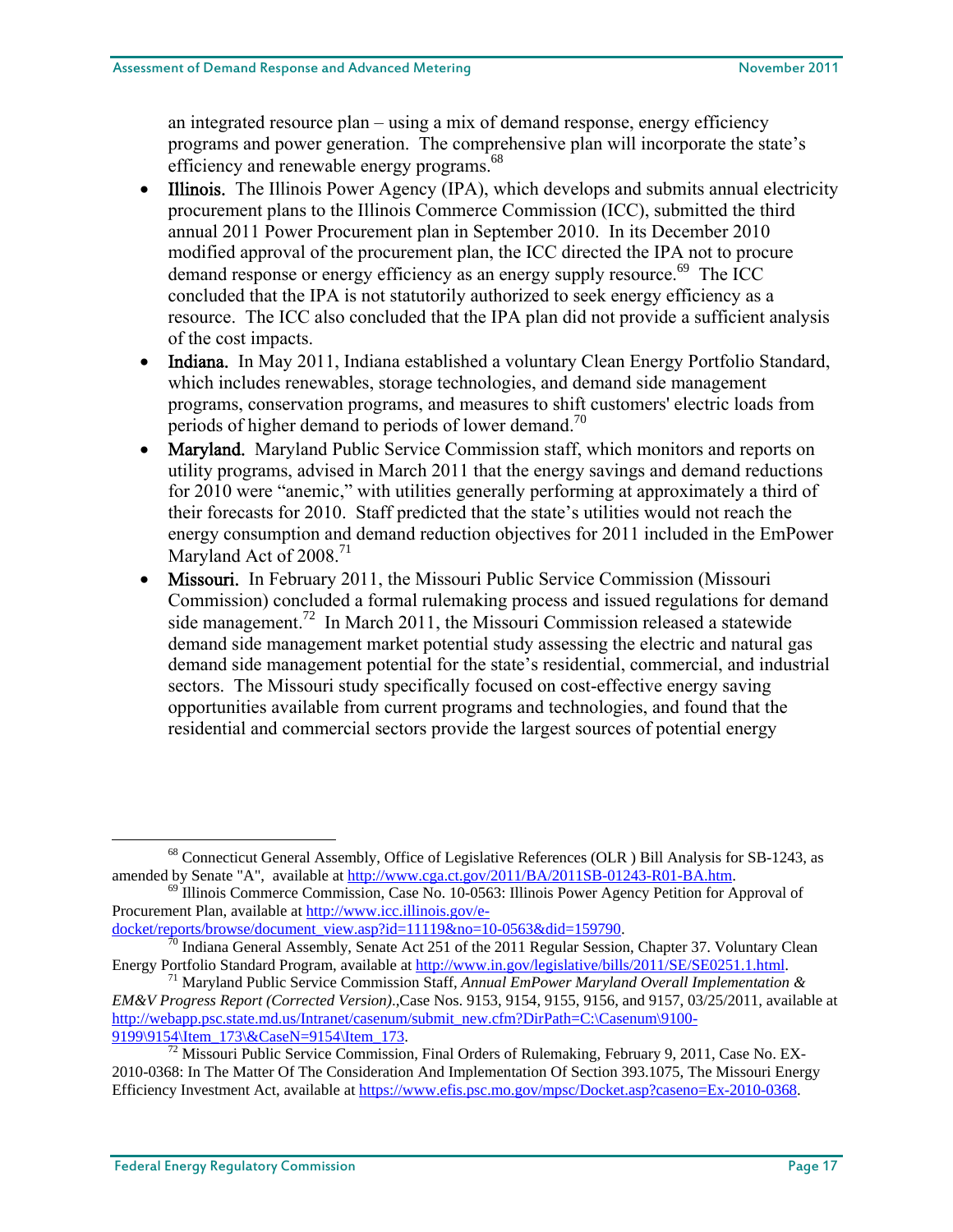an integrated resource plan – using a mix of demand response, energy efficiency programs and power generation. The comprehensive plan will incorporate the state's efficiency and renewable energy programs.<sup>68</sup>

- Illinois. The Illinois Power Agency (IPA), which develops and submits annual electricity procurement plans to the Illinois Commerce Commission (ICC), submitted the third annual 2011 Power Procurement plan in September 2010. In its December 2010 modified approval of the procurement plan, the ICC directed the IPA not to procure demand response or energy efficiency as an energy supply resource.<sup>69</sup> The ICC concluded that the IPA is not statutorily authorized to seek energy efficiency as a resource. The ICC also concluded that the IPA plan did not provide a sufficient analysis of the cost impacts.
- Indiana. In May 2011, Indiana established a voluntary Clean Energy Portfolio Standard, which includes renewables, storage technologies, and demand side management programs, conservation programs, and measures to shift customers' electric loads from periods of higher demand to periods of lower demand.<sup>70</sup>
- Maryland. Maryland Public Service Commission staff, which monitors and reports on utility programs, advised in March 2011 that the energy savings and demand reductions for 2010 were "anemic," with utilities generally performing at approximately a third of their forecasts for 2010. Staff predicted that the state's utilities would not reach the energy consumption and demand reduction objectives for 2011 included in the EmPower Maryland Act of 2008.<sup>71</sup>
- Missouri. In February 2011, the Missouri Public Service Commission (Missouri Commission) concluded a formal rulemaking process and issued regulations for demand side management.<sup>72</sup> In March 2011, the Missouri Commission released a statewide demand side management market potential study assessing the electric and natural gas demand side management potential for the state's residential, commercial, and industrial sectors. The Missouri study specifically focused on cost-effective energy saving opportunities available from current programs and technologies, and found that the residential and commercial sectors provide the largest sources of potential energy

<sup>&</sup>lt;sup>68</sup> Connecticut General Assembly, Office of Legislative References (OLR ) Bill Analysis for SB-1243, as amended by Senate "A", available at http://www.cga.ct.gov/2011/BA/2011SB-01243-R01-BA.htm.

 $\frac{69}{11}$  Illinois Commerce Commission, Case No. 10-0563: Illinois Power Agency Petition for Approval of Procurement Plan, available at http://www.icc.illinois.gov/e-

docket/reports/browse/document\_view.asp?id=11119&no=10-0563&did=159790.<br><sup>70</sup> Indiana General Assembly, Senate Act 251 of the 2011 Regular Session, Chapter 37. Voluntary Clean<br>Energy Portfolio Standard Program, available at

<sup>&</sup>lt;sup>71</sup> Maryland Public Service Commission Staff, *Annual EmPower Maryland Overall Implementation & EM&V Progress Report (Corrected Version)*.,Case Nos. 9153, 9154, 9155, 9156, and 9157, 03/25/2011, available at http://webapp.psc.state.md.us/Intranet/casenum/submit\_new.cfm?DirPath=C:\Casenum\9100-9199\9154\Item\_173\&CaseN=9154\Item\_173.

<sup>&</sup>lt;sup>72</sup> Missouri Public Service Commission, Final Orders of Rulemaking, February 9, 2011, Case No. EX-2010-0368: In The Matter Of The Consideration And Implementation Of Section 393.1075, The Missouri Energy Efficiency Investment Act, available at https://www.efis.psc.mo.gov/mpsc/Docket.asp?caseno=Ex-2010-0368.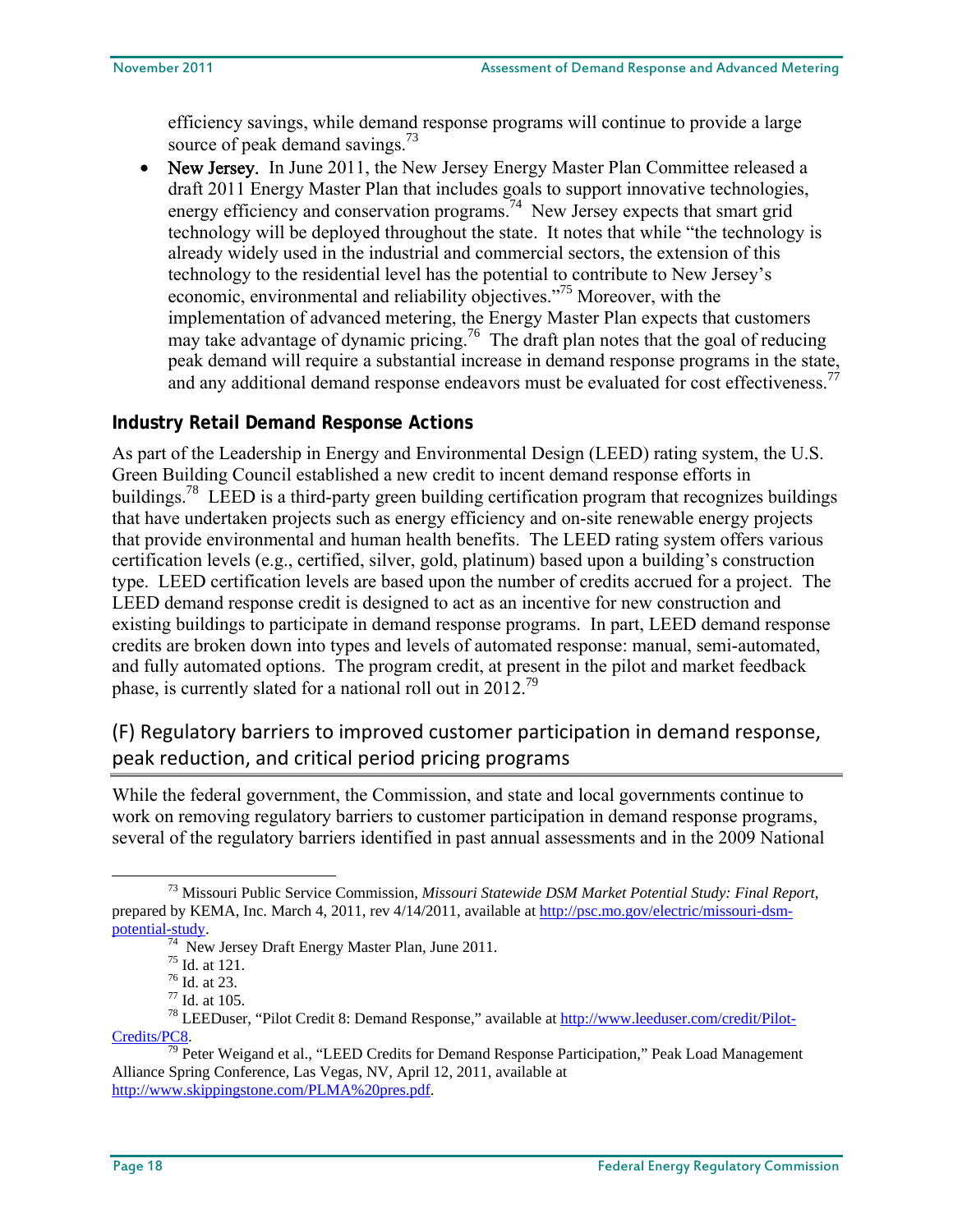efficiency savings, while demand response programs will continue to provide a large source of peak demand savings.<sup>73</sup>

 New Jersey. In June 2011, the New Jersey Energy Master Plan Committee released a draft 2011 Energy Master Plan that includes goals to support innovative technologies, energy efficiency and conservation programs.<sup>74</sup> New Jersey expects that smart grid technology will be deployed throughout the state. It notes that while "the technology is already widely used in the industrial and commercial sectors, the extension of this technology to the residential level has the potential to contribute to New Jersey's economic, environmental and reliability objectives."<sup>75</sup> Moreover, with the implementation of advanced metering, the Energy Master Plan expects that customers may take advantage of dynamic pricing.<sup>76</sup> The draft plan notes that the goal of reducing peak demand will require a substantial increase in demand response programs in the state, and any additional demand response endeavors must be evaluated for cost effectiveness.<sup>77</sup>

## **Industry Retail Demand Response Actions**

As part of the Leadership in Energy and Environmental Design (LEED) rating system, the U.S. Green Building Council established a new credit to incent demand response efforts in buildings.<sup>78</sup> LEED is a third-party green building certification program that recognizes buildings that have undertaken projects such as energy efficiency and on-site renewable energy projects that provide environmental and human health benefits. The LEED rating system offers various certification levels (e.g., certified, silver, gold, platinum) based upon a building's construction type. LEED certification levels are based upon the number of credits accrued for a project. The LEED demand response credit is designed to act as an incentive for new construction and existing buildings to participate in demand response programs. In part, LEED demand response credits are broken down into types and levels of automated response: manual, semi-automated, and fully automated options. The program credit, at present in the pilot and market feedback phase, is currently slated for a national roll out in 2012.<sup>79</sup>

## (F) Regulatory barriers to improved customer participation in demand response, peak reduction, and critical period pricing programs

While the federal government, the Commission, and state and local governments continue to work on removing regulatory barriers to customer participation in demand response programs, several of the regulatory barriers identified in past annual assessments and in the 2009 National

73 Missouri Public Service Commission, *Missouri Statewide DSM Market Potential Study: Final Report*, prepared by KEMA, Inc. March 4, 2011, rev 4/14/2011, available at http://psc.mo.gov/electric/missouri-dsmpotential-study.<br> $\frac{74}{74}$  New Jersey Draft Energy Master Plan, June 2011.

<sup>75</sup> Id. at 121.

<sup>76</sup> Id. at 23.

<sup>77</sup> Id. at 105.

<sup>&</sup>lt;sup>78</sup> LEEDuser, "Pilot Credit 8: Demand Response," available at http://www.leeduser.com/credit/Pilot- $C$ redits/PC8.<br><sup>79</sup> Peter Weigand et al., "LEED Credits for Demand Response Participation," Peak Load Management

Alliance Spring Conference, Las Vegas, NV, April 12, 2011, available at http://www.skippingstone.com/PLMA%20pres.pdf.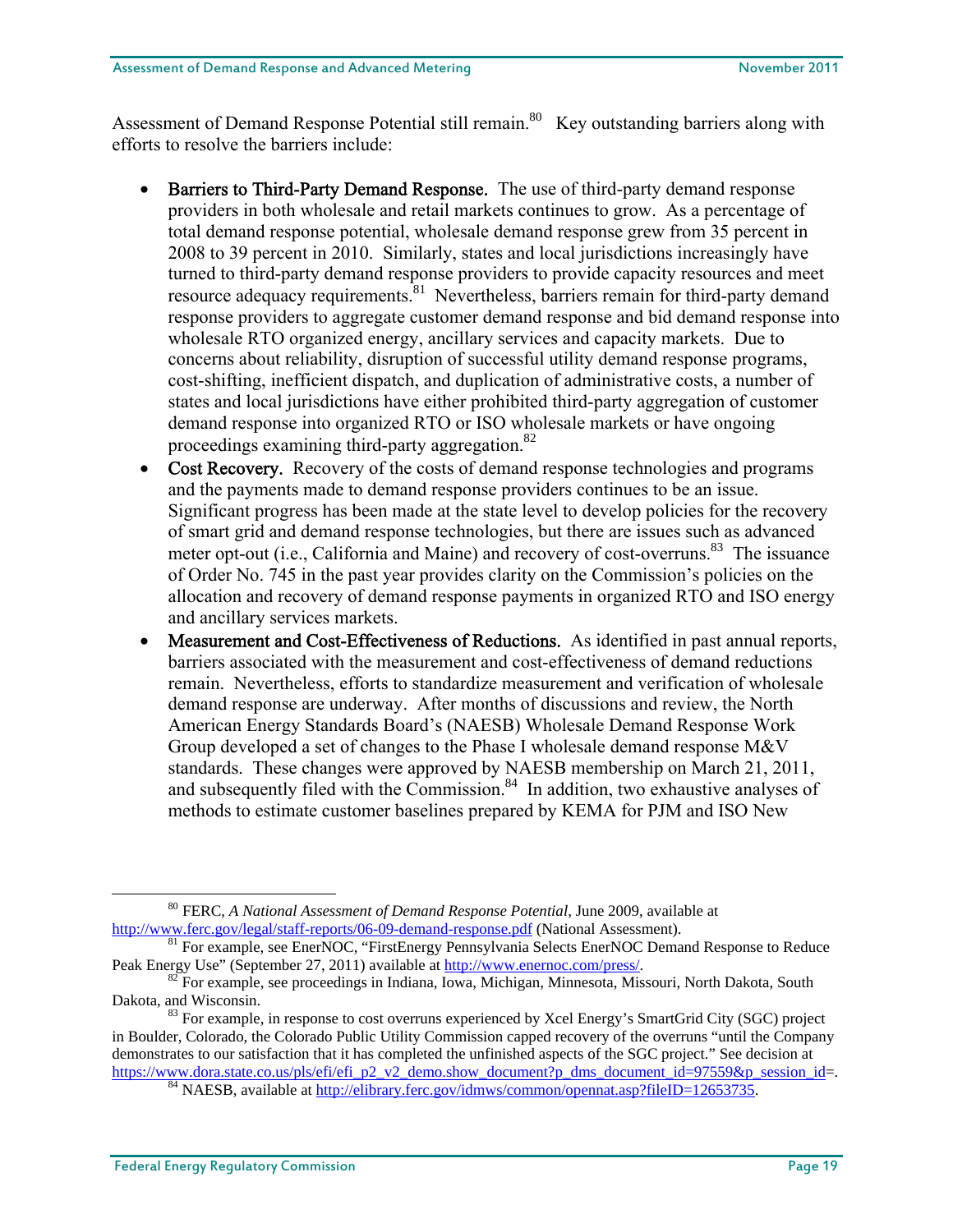Assessment of Demand Response Potential still remain.<sup>80</sup> Key outstanding barriers along with efforts to resolve the barriers include:

- Barriers to Third-Party Demand Response. The use of third-party demand response providers in both wholesale and retail markets continues to grow. As a percentage of total demand response potential, wholesale demand response grew from 35 percent in 2008 to 39 percent in 2010. Similarly, states and local jurisdictions increasingly have turned to third-party demand response providers to provide capacity resources and meet resource adequacy requirements.<sup>81</sup> Nevertheless, barriers remain for third-party demand response providers to aggregate customer demand response and bid demand response into wholesale RTO organized energy, ancillary services and capacity markets. Due to concerns about reliability, disruption of successful utility demand response programs, cost-shifting, inefficient dispatch, and duplication of administrative costs, a number of states and local jurisdictions have either prohibited third-party aggregation of customer demand response into organized RTO or ISO wholesale markets or have ongoing proceedings examining third-party aggregation.<sup>82</sup>
- Cost Recovery. Recovery of the costs of demand response technologies and programs and the payments made to demand response providers continues to be an issue. Significant progress has been made at the state level to develop policies for the recovery of smart grid and demand response technologies, but there are issues such as advanced meter opt-out (i.e., California and Maine) and recovery of cost-overruns.<sup>83</sup> The issuance of Order No. 745 in the past year provides clarity on the Commission's policies on the allocation and recovery of demand response payments in organized RTO and ISO energy and ancillary services markets.
- Measurement and Cost-Effectiveness of Reductions. As identified in past annual reports, barriers associated with the measurement and cost-effectiveness of demand reductions remain. Nevertheless, efforts to standardize measurement and verification of wholesale demand response are underway. After months of discussions and review, the North American Energy Standards Board's (NAESB) Wholesale Demand Response Work Group developed a set of changes to the Phase I wholesale demand response M&V standards. These changes were approved by NAESB membership on March 21, 2011, and subsequently filed with the Commission.<sup>84</sup> In addition, two exhaustive analyses of methods to estimate customer baselines prepared by KEMA for PJM and ISO New

<sup>80</sup> FERC, *A National Assessment of Demand Response Potential,* June 2009, available at

http://www.ferc.gov/legal/staff-reports/06-09-demand-response.pdf (National Assessment).<br><sup>81</sup> For example, see EnerNOC, "FirstEnergy Pennsylvania Selects EnerNOC Demand Response to Reduce<br>Peak Energy Use" (September 27, 20

 $\frac{82}{2}$  For example, see proceedings in Indiana, Iowa, Michigan, Minnesota, Missouri, North Dakota, South Dakota, and Wisconsin.

 $83$  For example, in response to cost overruns experienced by Xcel Energy's SmartGrid City (SGC) project in Boulder, Colorado, the Colorado Public Utility Commission capped recovery of the overruns "until the Company demonstrates to our satisfaction that it has completed the unfinished aspects of the SGC project." See decision at https://www.dora.state.co.us/pls/efi/efi\_p2\_v2\_demo.show\_document?p\_dms\_document\_id=97559&p\_session\_id=.<br><sup>84</sup> NAESB, available at http://elibrary.ferc.gov/idmws/common/opennat.asp?fileID=12653735.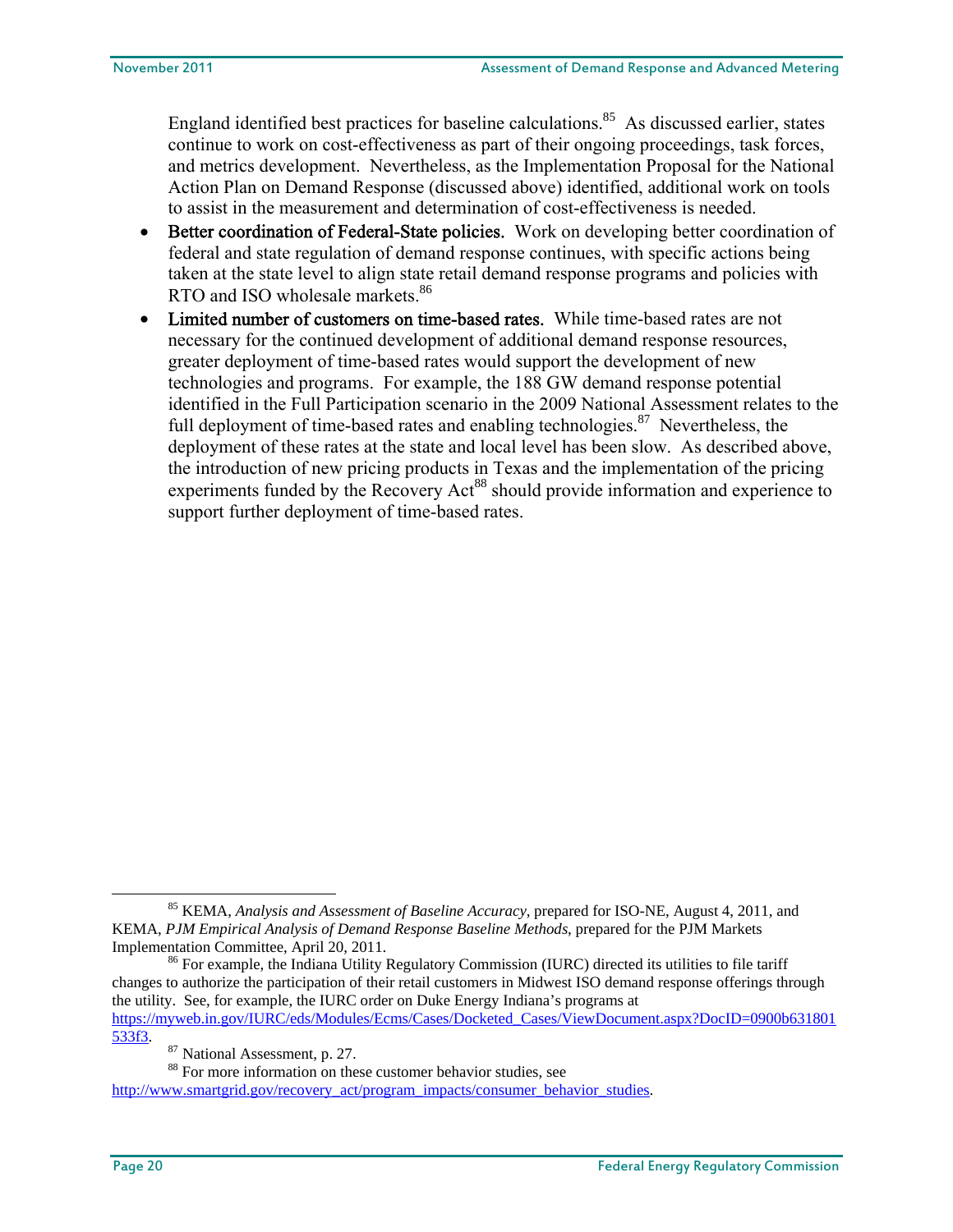England identified best practices for baseline calculations.<sup>85</sup> As discussed earlier, states continue to work on cost-effectiveness as part of their ongoing proceedings, task forces, and metrics development. Nevertheless, as the Implementation Proposal for the National Action Plan on Demand Response (discussed above) identified, additional work on tools to assist in the measurement and determination of cost-effectiveness is needed.

- Better coordination of Federal-State policies. Work on developing better coordination of federal and state regulation of demand response continues, with specific actions being taken at the state level to align state retail demand response programs and policies with RTO and ISO wholesale markets.<sup>86</sup>
- Limited number of customers on time-based rates. While time-based rates are not necessary for the continued development of additional demand response resources, greater deployment of time-based rates would support the development of new technologies and programs. For example, the 188 GW demand response potential identified in the Full Participation scenario in the 2009 National Assessment relates to the full deployment of time-based rates and enabling technologies.<sup>87</sup> Nevertheless, the deployment of these rates at the state and local level has been slow. As described above, the introduction of new pricing products in Texas and the implementation of the pricing experiments funded by the Recovery Act<sup>88</sup> should provide information and experience to support further deployment of time-based rates.

85 KEMA, *Analysis and Assessment of Baseline Accuracy*, prepared for ISO-NE, August 4, 2011, and KEMA, *PJM Empirical Analysis of Demand Response Baseline Methods*, prepared for the PJM Markets

<sup>&</sup>lt;sup>86</sup> For example, the Indiana Utility Regulatory Commission (IURC) directed its utilities to file tariff changes to authorize the participation of their retail customers in Midwest ISO demand response offerings through the utility. See, for example, the IURC order on Duke Energy Indiana's programs at https://myweb.in.gov/IURC/eds/Modules/Ecms/Cases/Docketed\_Cases/ViewDocument.aspx?DocID=0900b631801 533f3.<br><sup>87</sup> National Assessment, p. 27.<br><sup>88</sup> For more information on these customer behavior studies, see

http://www.smartgrid.gov/recovery\_act/program\_impacts/consumer\_behavior\_studies.